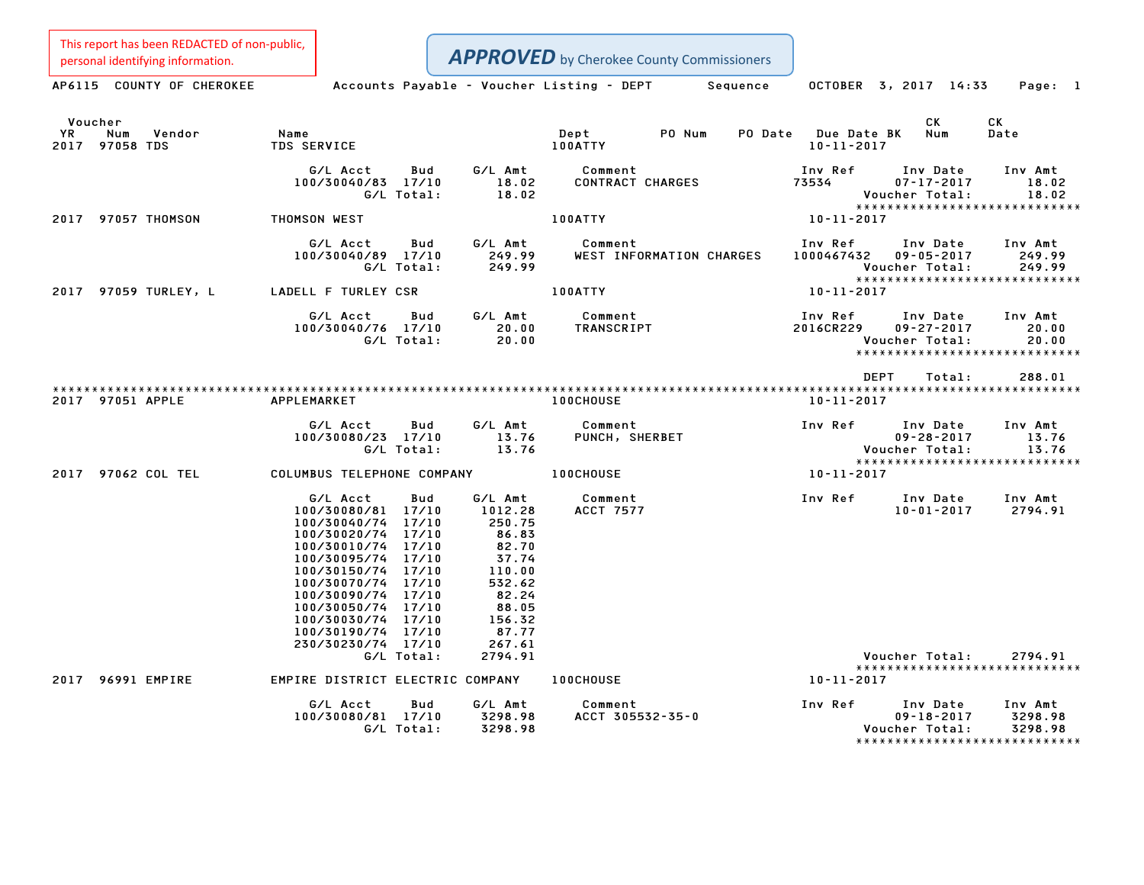This report has been REDACTED of non-public,<br>personal identifying information.

| personal identifying information.                       |                                                                                                                                                                                                                                                                                            |                                                                                                                            | <b>APPROVED</b> by Cherokee County Commissioners      |                                         |                                                                                                |
|---------------------------------------------------------|--------------------------------------------------------------------------------------------------------------------------------------------------------------------------------------------------------------------------------------------------------------------------------------------|----------------------------------------------------------------------------------------------------------------------------|-------------------------------------------------------|-----------------------------------------|------------------------------------------------------------------------------------------------|
| AP6115 COUNTY OF CHEROKEE                               |                                                                                                                                                                                                                                                                                            |                                                                                                                            | Accounts Payable – Voucher Listing – DEPT<br>Sequence | OCTOBER 3, 2017 14:33                   | Page: 1                                                                                        |
| Voucher<br><b>YR</b><br>Num<br>Vendor<br>2017 97058 TDS | Name<br><b>TDS SERVICE</b>                                                                                                                                                                                                                                                                 |                                                                                                                            | Dept<br>PO Num<br>PO Date<br>100ATTY                  | <b>Due Date BK</b><br>$10 - 11 - 2017$  | СK<br>CK<br>Num<br>Date                                                                        |
|                                                         | G/L Acct<br>100/30040/83 17/10<br>G/L Total:                                                                                                                                                                                                                                               | G/L Amt<br>Bud<br>18.02<br>18.02                                                                                           | Comment<br><b>CONTRACT CHARGES</b>                    | Inv Ref<br>73534<br>Voucher Total:      | Inv Date<br>Inv Amt<br>$07 - 17 - 2017$<br>18.02<br>18.02<br>*****************************     |
| 2017 97057 THOMSON                                      | THOMSON WEST                                                                                                                                                                                                                                                                               |                                                                                                                            | 100ATTY                                               | 10-11-2017                              |                                                                                                |
|                                                         | G/L Acct<br>100/30040/89 17/10<br>G/L Total:                                                                                                                                                                                                                                               | G/L Amt<br>Bud<br>249.99<br>249.99                                                                                         | Comment<br>WEST INFORMATION CHARGES                   | Inv Ref<br>1000467432<br>Voucher Total: | Inv Date<br>Inv Amt<br>$09 - 05 - 2017$<br>249.99<br>249.99<br>*****************************   |
| 2017 97059 TURLEY, L                                    | LADELL F TURLEY CSR                                                                                                                                                                                                                                                                        |                                                                                                                            | 100ATTY                                               | 10-11-2017                              |                                                                                                |
|                                                         | G/L Acct<br>100/30040/76 17/10<br>G/L Total:                                                                                                                                                                                                                                               | G/L Amt<br>Bud<br>20.00<br>20.00                                                                                           | Comment<br><b>TRANSCRIPT</b>                          | Inv Ref<br>2016CR229<br>Voucher Total:  | Inv Amt<br>Inv Date<br>$09 - 27 - 2017$<br>20.00<br>20.00<br>*****************************     |
|                                                         |                                                                                                                                                                                                                                                                                            |                                                                                                                            |                                                       | <b>DEPT</b>                             | Total:<br>288.01                                                                               |
| 2017 97051 APPLE                                        | APPLEMARKET                                                                                                                                                                                                                                                                                |                                                                                                                            | <b>100CHOUSE</b>                                      | $10 - 11 - 2017$                        |                                                                                                |
|                                                         | G/L Acct<br>100/30080/23 17/10<br>G/L Total:                                                                                                                                                                                                                                               | G/L Amt<br>Bud<br>13.76<br>13.76                                                                                           | Comment<br>PUNCH, SHERBET                             | Inv Ref<br>Voucher Total:               | Inv Amt<br>Inv Date<br>$09 - 28 - 2017$<br>13.76<br>13.76<br>******************************    |
| 2017 97062 COL TEL                                      | COLUMBUS TELEPHONE COMPANY                                                                                                                                                                                                                                                                 |                                                                                                                            | 100CHOUSE                                             | 10-11-2017                              |                                                                                                |
|                                                         | G/L Acct<br>Bud<br>100/30080/81 17/10<br>100/30040/74<br>17/10<br>100/30020/74 17/10<br>100/30010/74 17/10<br>100/30095/74 17/10<br>100/30150/74 17/10<br>100/30070/74 17/10<br>100/30090/74 17/10<br>100/30050/74 17/10<br>100/30030/74 17/10<br>100/30190/74 17/10<br>230/30230/74 17/10 | G/L Amt<br>1012.28<br>250.75<br>86.83<br>82.70<br>37.74<br>110.00<br>532.62<br>82.24<br>88.05<br>156.32<br>87.77<br>267.61 | Comment<br><b>ACCT 7577</b>                           | Inv Ref                                 | Inv Date<br>Inv Amt<br>$10 - 01 - 2017$<br>2794.91                                             |
|                                                         | G/L Total:                                                                                                                                                                                                                                                                                 | 2794.91                                                                                                                    |                                                       | Voucher Total:                          | 2794.91<br>*****************************                                                       |
| 2017 96991 EMPIRE                                       | EMPIRE DISTRICT ELECTRIC COMPANY                                                                                                                                                                                                                                                           |                                                                                                                            | 100CHOUSE                                             | 10-11-2017                              |                                                                                                |
|                                                         | G/L Acct<br>100/30080/81 17/10<br>G/L Total:                                                                                                                                                                                                                                               | G/L Amt<br>Bud<br>3298.98<br>3298.98                                                                                       | Comment<br>ACCT 305532-35-0                           | Inv Ref<br>Voucher Total:               | Inv Date<br>Inv Amt<br>$09 - 18 - 2017$<br>3298.98<br>3298.98<br>***************************** |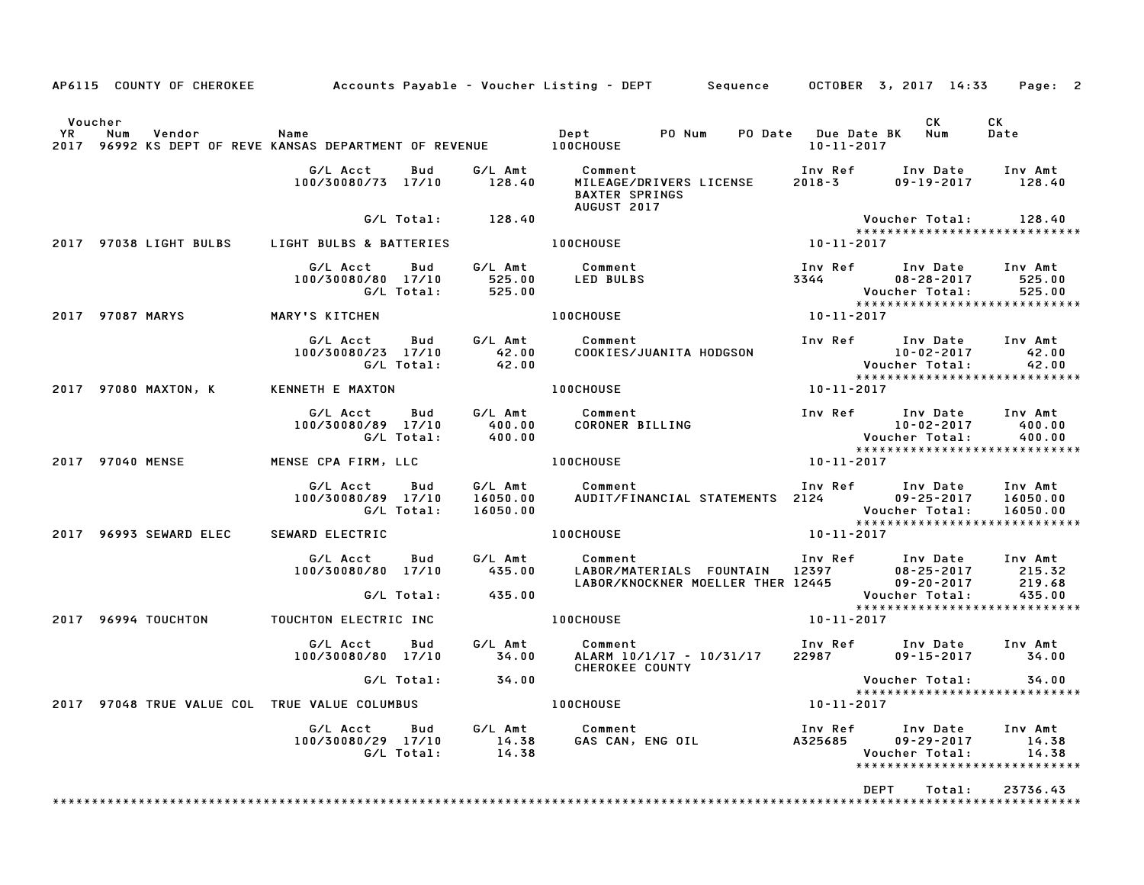|                      |     | AP6115 COUNTY OF CHEROKEE |                                                                           |                   |                             | Accounts Payable – Voucher Listing – DEPT         Sequence       OCTOBER  3, 2017  14:33 |                                   |                                                                                                               | Page: 2                     |
|----------------------|-----|---------------------------|---------------------------------------------------------------------------|-------------------|-----------------------------|------------------------------------------------------------------------------------------|-----------------------------------|---------------------------------------------------------------------------------------------------------------|-----------------------------|
| Voucher<br><b>YR</b> | Num | Vendor                    | Name<br>2017 96992 KS DEPT OF REVE KANSAS DEPARTMENT OF REVENUE 100CHOUSE |                   |                             | Dept PO Num                                                                              | PO Date Due Date BK<br>10-11-2017 | CK.<br>Num                                                                                                    | CK<br>Date                  |
|                      |     |                           | G/L Acct<br>100/30080/73 17/10                                            | Bud               | G/L Amt<br>128.40           | Comment<br>MILEAGE/DRIVERS LICENSE<br><b>BAXTER SPRINGS</b><br>AUGUST 2017               | $2018 - 3$                        | Inv Ref Inv Date<br>$09 - 19 - 2017$                                                                          | Inv Amt<br>128.40           |
|                      |     |                           |                                                                           | G/L Total:        | 128.40                      |                                                                                          |                                   | Voucher Total:                                                                                                | 128.40                      |
|                      |     | 2017 97038 LIGHT BULBS    | LIGHT BULBS & BATTERIES                                                   |                   |                             | 100CHOUSE                                                                                | $10 - 11 - 2017$                  | *****************************                                                                                 |                             |
|                      |     |                           | G/L Acct<br>100/30080/80 17/10                                            | Bud<br>G/L Total: | 525.00<br>525.00            | G/L Amt Comment<br><b>LED BULBS</b>                                                      |                                   | Inv Ref Inv Date<br>3344 08-28-2017<br>Voucher Total:<br>*****************************                        | Inv Amt<br>525.00<br>525.00 |
| 2017 97087 MARYS     |     |                           | MARY'S KITCHEN                                                            |                   |                             | <b>100CHOUSE</b>                                                                         | 10-11-2017                        |                                                                                                               |                             |
|                      |     |                           | G/L Acct<br>100/30080/23 17/10                                            | Bud<br>G/L Total: | G/L Amt<br>42.00<br>42.00   | Comment<br>COOKIES/JUANITA HODGSON                                                       |                                   | Inv Ref Inv Date Inv Amt<br>uiv Date<br>10-02-2017<br>- Voucher Total                                         | 42.00<br>42.00              |
|                      |     | 2017 97080 MAXTON, K      | KENNETH E MAXTON                                                          |                   |                             | <b>100CHOUSE</b>                                                                         | 10-11-2017                        |                                                                                                               |                             |
|                      |     |                           | G/L Acct<br>100/30080/89 17/10                                            | Bud<br>G/L Total: | G/L Amt<br>400.00<br>400.00 | Comment<br>CORONER BILLING                                                               |                                   | Inv Ref Inv Date<br>10-02-2017<br>Voucher Total:<br>******************************                            | Inv Amt<br>400.00<br>400.00 |
|                      |     | 2017 97040 MENSE          | MENSE CPA FIRM, LLC                                                       |                   |                             | <b>100CHOUSE</b>                                                                         | 10-11-2017                        |                                                                                                               |                             |
|                      |     |                           | G/L Acct<br>100/30080/89 17/10                                            | Bud<br>G/L Total: | 16050.00<br>16050.00        | G/L Amt Comment<br>AUDIT/FINANCIAL STATEMENTS 2124                                       |                                   | Inv Ref Inv Date Inv Amt<br>09-25-2017 16050.00<br>Voucher Total:                                             | 16050.00                    |
|                      |     | 2017 96993 SEWARD ELEC    | SEWARD ELECTRIC                                                           |                   |                             | <b>100CHOUSE</b>                                                                         | 10-11-2017                        | *****************************                                                                                 |                             |
|                      |     |                           | G/L Acct<br>100/30080/80 17/10                                            | Bud               | G/L Amt<br>435.00           | Comment                                                                                  |                                   | Inv Ref Inv Date<br>LABOR/MATERIALS FOUNTAIN 12397 08-25-2017<br>LABOR/KNOCKNER MOELLER THER 12445 09-20-2017 | Inv Amt<br>215.32<br>219.68 |
|                      |     |                           |                                                                           | G/L Total:        | 435.00                      |                                                                                          |                                   | Voucher Total:<br>*****************************                                                               | 435.00                      |
|                      |     | 2017 96994 TOUCHTON       | TOUCHTON ELECTRIC INC                                                     |                   |                             | <b>100CHOUSE</b>                                                                         | 10-11-2017                        |                                                                                                               |                             |
|                      |     |                           | G/L Acct<br>100/30080/80 17/10                                            | Bud               | G/L Amt<br>34.00            | Comment<br>ALARM 10/1/17 – 10/31/17<br>CHEROKEE COUNTY                                   | 22987                             | Inv Ref Inv Date Inv Amt<br>09-15-2017                                                                        | 34.00                       |
|                      |     |                           |                                                                           | G/L Total:        | 34.00                       |                                                                                          |                                   | Voucher Total:                                                                                                | 34.00                       |
|                      |     |                           | 2017 97048 TRUE VALUE COL TRUE VALUE COLUMBUS                             |                   |                             | <b>100CHOUSE</b>                                                                         | 10-11-2017                        | *****************************                                                                                 |                             |
|                      |     |                           | G/L Acct<br>100/30080/29 17/10                                            | Bud<br>G/L Total: | G/L Amt<br>14.38<br>14.38   | Comment<br>GAS CAN, ENG OIL                                                              | Inv Ref<br>A325685                | Inv Date<br>$09 - 29 - 2017$<br>Voucher Total:<br>******************************                              | Inv Amt<br>14.38<br>14.38   |
|                      |     |                           |                                                                           |                   |                             |                                                                                          |                                   | <b>DEPT</b><br>Total:                                                                                         | 23736.43                    |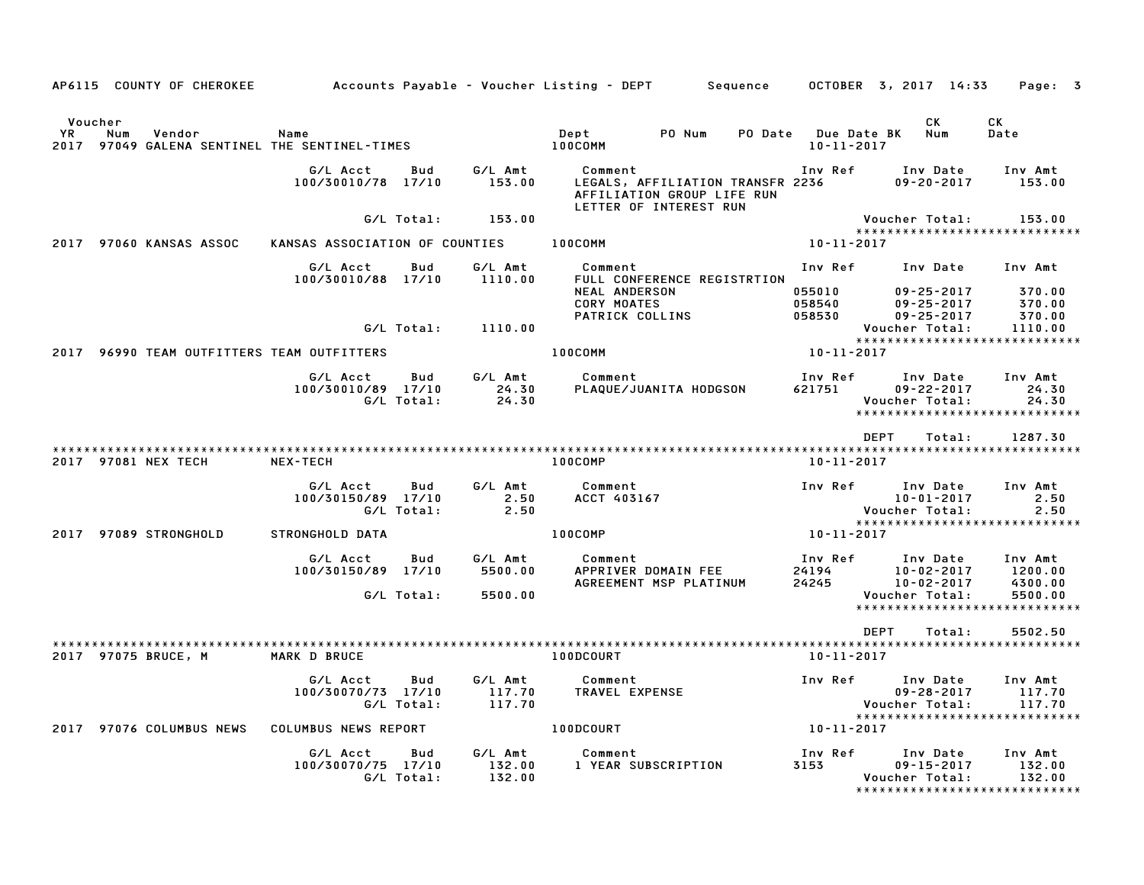|                       |     | AP6115 COUNTY OF CHEROKEE |                                                  |                   |                             | Accounts Payable – Voucher Listing – DEPT         Sequence |                                                                                          |         |                                        | OCTOBER 3, 2017 14:33                            | Page: 3                                                       |
|-----------------------|-----|---------------------------|--------------------------------------------------|-------------------|-----------------------------|------------------------------------------------------------|------------------------------------------------------------------------------------------|---------|----------------------------------------|--------------------------------------------------|---------------------------------------------------------------|
| Voucher<br>YR<br>2017 | Num | Vendor                    | Name<br>97049 GALENA SENTINEL THE SENTINEL-TIMES |                   |                             | Dept<br>100COMM                                            | PO Num                                                                                   | PO Date | <b>Due Date BK</b><br>$10 - 11 - 2017$ | <b>CK</b><br>Num                                 | CK<br>Date                                                    |
|                       |     |                           | G/L Acct<br>100/30010/78 17/10                   | Bud               | G/L Amt<br>153.00           | Comment                                                    | LEGALS, AFFILIATION TRANSFR 2236<br>AFFILIATION GROUP LIFE RUN<br>LETTER OF INTEREST RUN |         | Inv Ref                                | Inv Date<br>$09 - 20 - 2017$                     | Inv Amt<br>153.00                                             |
|                       |     |                           |                                                  | G/L Total:        | 153.00                      |                                                            |                                                                                          |         |                                        | Voucher Total:                                   | 153.00                                                        |
|                       |     | 2017 97060 KANSAS ASSOC   | KANSAS ASSOCIATION OF COUNTIES                   |                   |                             | 100COMM                                                    |                                                                                          |         | $10 - 11 - 2017$                       |                                                  | *****************************                                 |
|                       |     |                           | G/L Acct<br>100/30010/88 17/10                   | Bud               | G/L Amt<br>1110.00          | Comment<br><b>NEAL ANDERSON</b><br><b>CORY MOATES</b>      | FULL CONFERENCE REGISTRTION                                                              |         | Inv Ref<br>055010<br>058540            | Inv Date<br>$09 - 25 - 2017$<br>$09 - 25 - 2017$ | Inv Amt<br>370.00<br>370.00                                   |
|                       |     |                           |                                                  | G/L Total:        | 1110.00                     | PATRICK COLLINS                                            |                                                                                          |         | 058530                                 | $09 - 25 - 2017$<br>Voucher Total:               | 370.00<br>1110.00                                             |
|                       |     |                           | 2017 96990 TEAM OUTFITTERS TEAM OUTFITTERS       |                   |                             | 100COMM                                                    |                                                                                          |         | 10-11-2017                             |                                                  | *****************************                                 |
|                       |     |                           | G/L Acct<br>100/30010/89 17/10                   | Bud<br>G/L Total: | G/L Amt<br>24.30<br>24.30   | Comment                                                    | PLAQUE/JUANITA HODGSON                                                                   |         | Inv Ref<br>621751                      | Inv Date<br>$09 - 22 - 2017$<br>Voucher Total:   | Inv Amt<br>24.30<br>24.30<br>*****************************    |
|                       |     |                           |                                                  |                   |                             |                                                            |                                                                                          |         |                                        | DEPT<br>Total:                                   | 1287.30                                                       |
|                       |     | 2017 97081 NEX TECH       | <b>NEX-TECH</b>                                  |                   |                             | 100COMP                                                    |                                                                                          |         | 10-11-2017                             |                                                  |                                                               |
|                       |     |                           | G/L Acct<br>100/30150/89 17/10                   | Bud<br>G/L Total: | G/L Amt<br>2.50<br>2.50     | Comment<br>ACCT 403167                                     |                                                                                          |         | Inv Ref                                | Inv Date<br>$10 - 01 - 2017$<br>Voucher Total:   | Inv Amt<br>2.50<br>2.50<br>*****************************      |
|                       |     | 2017 97089 STRONGHOLD     | STRONGHOLD DATA                                  |                   |                             | 100COMP                                                    |                                                                                          |         | 10-11-2017                             |                                                  |                                                               |
|                       |     |                           | G/L Acct<br>100/30150/89 17/10                   | Bud               | G/L Amt<br>5500.00          | Comment                                                    | APPRIVER DOMAIN FEE<br>AGREEMENT MSP PLATINUM                                            |         | Inv Ref<br>24194<br>24245              | Inv Date<br>$10 - 02 - 2017$<br>$10 - 02 - 2017$ | Inv Amt<br>1200.00<br>4300.00                                 |
|                       |     |                           |                                                  | G/L Total:        | 5500.00                     |                                                            |                                                                                          |         |                                        | Voucher Total:                                   | 5500.00<br>*****************************                      |
|                       |     |                           |                                                  |                   |                             |                                                            |                                                                                          |         |                                        | <b>DEPT</b><br>Total:                            | 5502.50                                                       |
|                       |     | 2017 97075 BRUCE, M       | MARK D BRUCE                                     |                   |                             | 100DCOURT                                                  |                                                                                          |         | 10-11-2017                             |                                                  |                                                               |
|                       |     |                           | G/L Acct<br>100/30070/73 17/10                   | Bud<br>G/L Total: | G/L Amt<br>117.70<br>117.70 | Comment<br>TRAVEL EXPENSE                                  |                                                                                          |         | Inv Ref                                | Inv Date<br>$09 - 28 - 2017$<br>Voucher Total:   | Inv Amt<br>117.70<br>117.70<br>****************************** |
|                       |     | 2017 97076 COLUMBUS NEWS  | COLUMBUS NEWS REPORT                             |                   |                             | 100DCOURT                                                  |                                                                                          |         | 10-11-2017                             |                                                  |                                                               |
|                       |     |                           | G/L Acct<br>100/30070/75 17/10                   | Bud<br>G/L Total: | G/L Amt<br>132.00<br>132.00 | Comment                                                    | 1 YEAR SUBSCRIPTION                                                                      |         | Inv Ref<br>3153                        | Inv Date<br>$09 - 15 - 2017$<br>Voucher Total:   | Inv Amt<br>132.00<br>132.00                                   |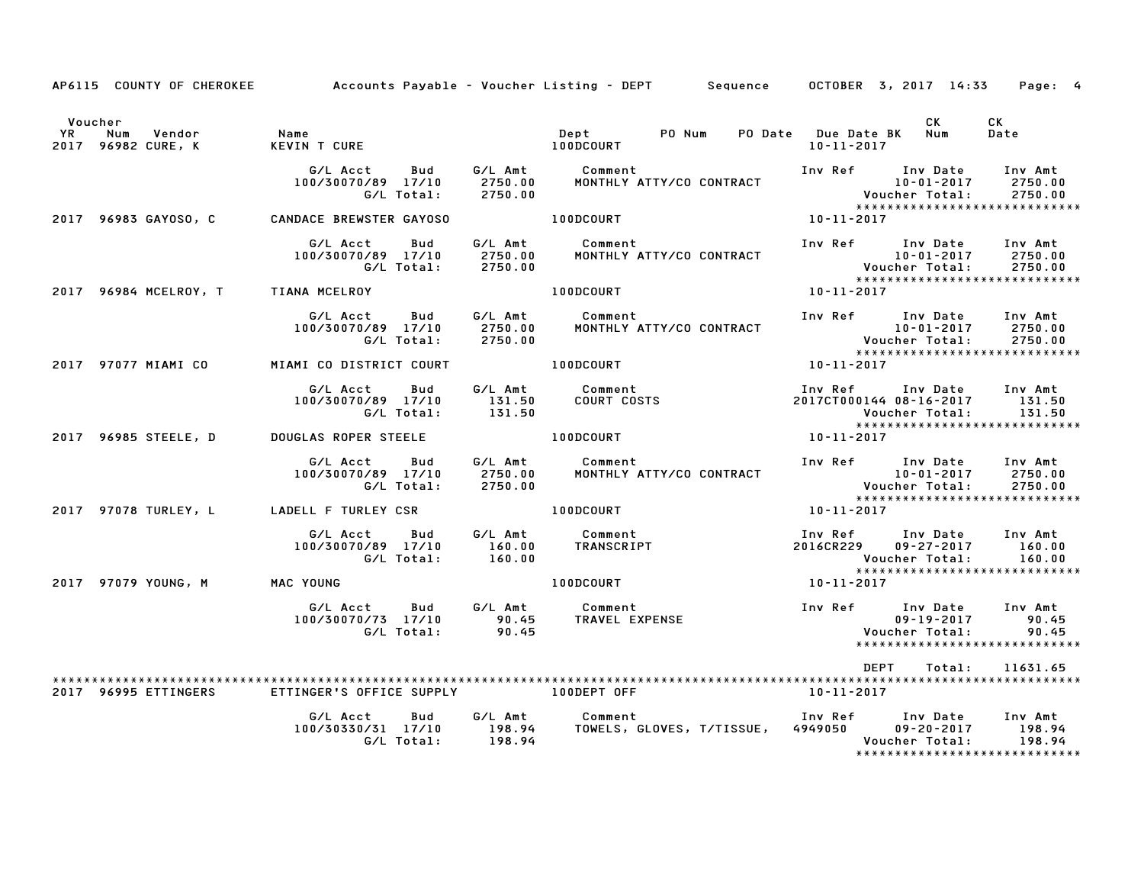|               | AP6115 COUNTY OF CHEROKEE           |                                                     |                    | Accounts Payable – Voucher Listing – DEPT – Sequence – OCTOBER 3, 2017 14:33                                                                      | Page: 4                                                                                                                                               |
|---------------|-------------------------------------|-----------------------------------------------------|--------------------|---------------------------------------------------------------------------------------------------------------------------------------------------|-------------------------------------------------------------------------------------------------------------------------------------------------------|
| Voucher<br>YR | Num<br>Vendor<br>2017 96982 CURE, K | Name<br><b>KEVIN T CURE</b>                         |                    | PO Num<br>Dept<br><b>100DCOURT</b>                                                                                                                | CK<br><b>CK</b><br>PO Date Due Date BK<br>Num<br>Date<br>10-11-2017                                                                                   |
|               |                                     | G/L Acct<br>Bud<br>100/30070/89 17/10<br>G/L Total: | 2750.00<br>2750.00 | G/L Amt Comment<br>MONTHLY ATTY/CO CONTRACT                                                                                                       | Inv Ref Inv Date<br>Inv Amt<br>10-01-2017<br>2750.00<br>Voucher Total: 2750.00<br>******************************                                      |
|               | 2017 96983 GAYOSO, C                | <b>CANDACE BREWSTER GAYOSO</b>                      |                    | 100DCOURT                                                                                                                                         | 10-11-2017                                                                                                                                            |
|               |                                     | G/L Acct<br>Bud<br>100/30070/89 17/10<br>G/L Total: | 2750.00<br>2750.00 | G/L Amt Comment<br>MONTHLY ATTY/CO CONTRACT                                                                                                       | Inv Ref Inv Date<br>Inv Amt<br>10-01-2017<br>2750.00<br>10-01-2017<br>: Voucher Total<br>****************<br>2750.00<br>***************************** |
|               | 2017 96984 MCELROY, T TIANA MCELROY |                                                     |                    | 100DCOURT                                                                                                                                         | $10 - 11 - 2017$                                                                                                                                      |
|               |                                     | G/L Acct<br>Bud<br>100/30070/89 17/10<br>G/L Total: | 2750.00<br>2750.00 | G/L Amt Comment<br>MONTHLY ATTY/CO CONTRACT                                                                                                       | Inv Ref Inv Date<br>Inv Amt<br>10-01-2017<br>2750.00<br>2750.00<br>*****************************                                                      |
|               | 2017 97077 MIAMI CO                 | MIAMI CO DISTRICT COURT                             |                    | 100DCOURT                                                                                                                                         | 10-11-2017                                                                                                                                            |
|               |                                     | G/L Acct<br>Bud<br>100/30070/89 17/10<br>G/L Total: | 131.50<br>131.50   | G/L Amt Comment<br><b>COURT COSTS</b>                                                                                                             | Inv Ref Inv Date Inv Amt<br>2017CT000144 08-16-2017<br>131.50<br>131.50<br>Voucher Total:<br>*****************************                            |
|               | 2017 96985 STEELE, D                | <b>DOUGLAS ROPER STEELE</b>                         |                    | <b>100DCOURT</b>                                                                                                                                  | 10-11-2017                                                                                                                                            |
|               |                                     | G/L Acct<br>Bud<br>100/30070/89 17/10<br>G/L Total: | 2750.00<br>2750.00 | G/L Amt Comment<br>MONTHLY ATTY/CO CONTRACT                                                                                                       | Inv Ref Inv Date<br>Inv Amt<br>10-01-2017<br>2750.00<br>10-01-2017<br>:Voucher Total<br>2750.00<br>*****************************                      |
|               | 2017 97078 TURLEY, L                | LADELL F TURLEY CSR                                 |                    | 100DCOURT                                                                                                                                         | $10 - 11 - 2017$                                                                                                                                      |
|               |                                     | G/L Acct<br>Bud<br>100/30070/89 17/10<br>G/L Total: | 160.00<br>160.00   | G/L Amt Comment<br>TRANSCRIPT                                                                                                                     | Inv Ref Inv Date<br>Inv Amt<br>2016CR229<br>$09 - 27 - 2017$<br>160.00<br>Voucher Total:<br>160.00                                                    |
|               | 2017 97079 YOUNG, M                 | MAC YOUNG                                           |                    | 100DCOURT                                                                                                                                         | *****************************<br>10-11-2017                                                                                                           |
|               |                                     | G/L Acct<br>Bud<br>100/30070/73 17/10<br>G/L Total: |                    |                                                                                                                                                   | Inv Amt<br>90.45<br>90.45<br>*****************************                                                                                            |
|               |                                     |                                                     |                    |                                                                                                                                                   | DEPT<br>Total:<br>11631.65                                                                                                                            |
|               | 2017 96995 ETTINGERS                | ETTINGER'S OFFICE SUPPLY <b>And SETTINGER'S</b>     |                    |                                                                                                                                                   | 10-11-2017                                                                                                                                            |
|               |                                     | G/L Acct<br>Bud<br>100/30330/31 17/10<br>G/L Total: | 198.94             | G/L Amt        Comment                                 Inv Ref       Inv Date<br>198.94      TOWELS, GLOVES, T/TISSUE,   4949050       09–20–2017 | Inv Amt<br>$09 - 20 - 2017$<br>198.94<br>198.94<br>Voucher Total:<br>*****************************                                                    |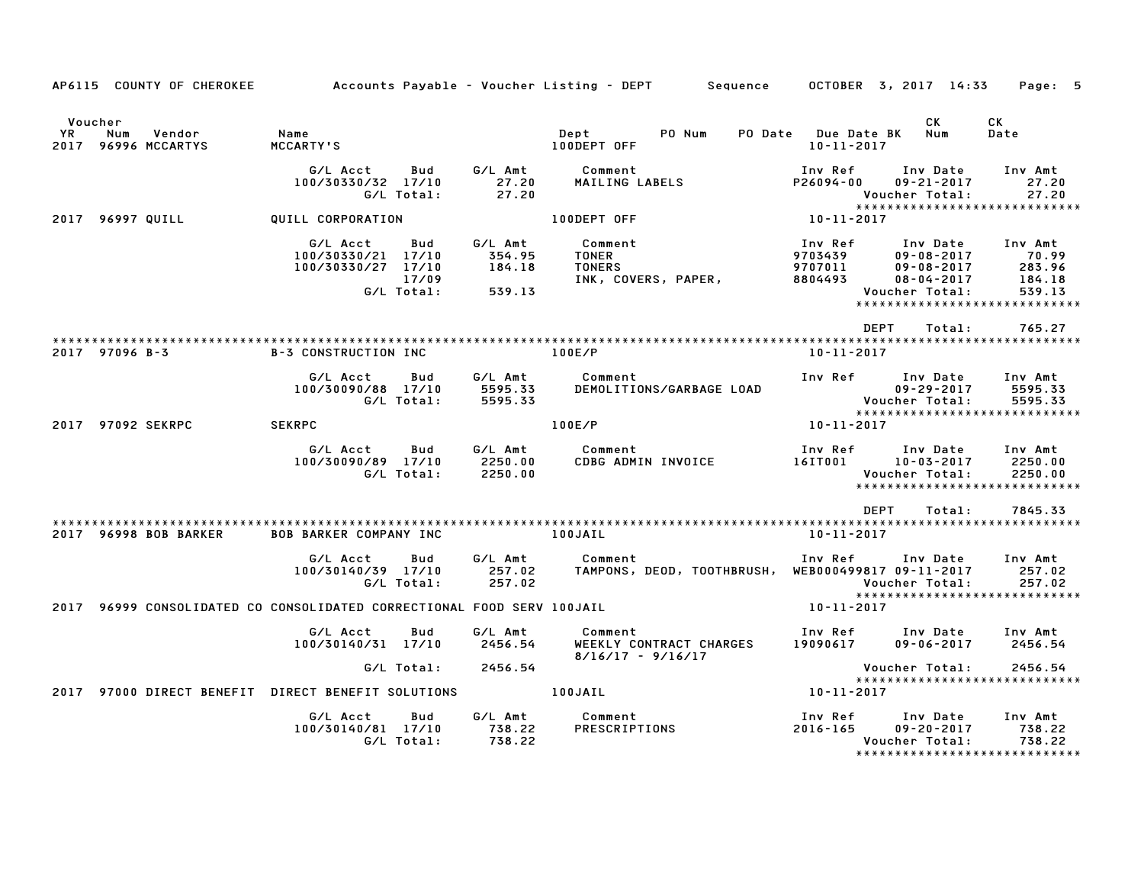|    | AP6115 COUNTY OF CHEROKEE                       |                                                                                    |                                       | Accounts Payable – Voucher Listing – DEPT<br>Sequence           |                                          | OCTOBER 3, 2017 14:33                                                                                                   | Page: 5                                        |
|----|-------------------------------------------------|------------------------------------------------------------------------------------|---------------------------------------|-----------------------------------------------------------------|------------------------------------------|-------------------------------------------------------------------------------------------------------------------------|------------------------------------------------|
| YR | Voucher<br>Num<br>Vendor<br>2017 96996 MCCARTYS | Name<br>MCCARTY'S                                                                  |                                       | PO Num<br>Dept<br>100DEPT OFF                                   | PO Date Due Date BK<br>$10 - 11 - 2017$  | CK<br>Num                                                                                                               | <b>CK</b><br>Date                              |
|    |                                                 | G/L Acct<br>Bud<br>100/30330/32 17/10<br>G/L Total:                                | G/L Amt<br>27.20<br>27.20             | Comment<br>MAILING LABELS                                       | Inv Ref<br>P26094-00                     | Inv Date<br>$09 - 21 - 2017$<br>Voucher Total:<br>*****************************                                         | Inv Amt<br>27.20<br>27.20                      |
|    | 2017 96997 QUILL                                | QUILL CORPORATION                                                                  |                                       | 100DEPT OFF                                                     | 10-11-2017                               |                                                                                                                         |                                                |
|    |                                                 | G/L Acct<br>Bud<br>100/30330/21 17/10<br>100/30330/27 17/10<br>17/09<br>G/L Total: | G/L Amt<br>354.95<br>184.18<br>539.13 | Comment<br><b>TONER</b><br><b>TONERS</b><br>INK, COVERS, PAPER, | Inv Ref<br>9703439<br>9707011<br>8804493 | Inv Date<br>$09 - 08 - 2017$<br>$09 - 08 - 2017$<br>$08 - 04 - 2017$<br>Voucher Total:<br>***************************** | Inv Amt<br>70.99<br>283.96<br>184.18<br>539.13 |
|    |                                                 |                                                                                    |                                       |                                                                 |                                          | <b>DEPT</b><br>Total:                                                                                                   | 765.27                                         |
|    | 2017 97096 B-3                                  | <b>B-3 CONSTRUCTION INC</b>                                                        |                                       | 100E/P                                                          | $10 - 11 - 2017$                         |                                                                                                                         |                                                |
|    |                                                 | G/L Acct<br>Bud<br>100/30090/88 17/10<br>G/L Total:                                | G/L Amt<br>5595.33<br>5595.33         | Comment<br>DEMOLITIONS/GARBAGE LOAD                             | Inv Ref                                  | Inv Date<br>$09 - 29 - 2017$<br>Voucher Total:<br>*****************************                                         | Inv Amt<br>5595.33<br>5595.33                  |
|    | 2017 97092 SEKRPC                               | <b>SEKRPC</b>                                                                      |                                       | 100E/P                                                          | 10-11-2017                               |                                                                                                                         |                                                |
|    |                                                 | G/L Acct<br>Bud<br>100/30090/89 17/10<br>G/L Total:                                | G/L Amt<br>2250.00<br>2250.00         | Comment<br>CDBG ADMIN INVOICE                                   | Inv Ref<br>16IT001                       | Inv Date<br>$10 - 03 - 2017$<br>Voucher Total:<br>*****************************                                         | Inv Amt<br>2250.00<br>2250.00                  |
|    | 2017 96998 BOB BARKER                           | <b>BOB BARKER COMPANY INC</b>                                                      |                                       | 100JAIL                                                         | $10 - 11 - 2017$                         | <b>DEPT</b><br>Total:                                                                                                   | 7845.33                                        |
|    |                                                 | G/L Acct<br>Bud<br>100/30140/39 17/10<br>G/L Total:                                | G/L Amt<br>257.02<br>257.02           | Comment<br>TAMPONS, DEOD, TOOTHBRUSH, WEB000499817 09-11-2017   | Inv Ref                                  | Inv Date<br>Voucher Total:<br>*****************************                                                             | Inv Amt<br>257.02<br>257.02                    |
|    |                                                 | 2017 96999 CONSOLIDATED CO CONSOLIDATED CORRECTIONAL FOOD SERV 100JAIL             |                                       |                                                                 | 10-11-2017                               |                                                                                                                         |                                                |
|    |                                                 | G/L Acct<br>Bud<br>100/30140/31 17/10                                              | G/L Amt<br>2456.54                    | Comment<br>WEEKLY CONTRACT CHARGES<br>$8/16/17 - 9/16/17$       | 19090617                                 | Inv Ref Inv Date<br>$09 - 06 - 2017$                                                                                    | Inv Amt<br>2456.54                             |
|    |                                                 | G/L Total:                                                                         | 2456.54                               |                                                                 |                                          | Voucher Total:<br>******************************                                                                        | 2456.54                                        |
|    |                                                 | 2017 97000 DIRECT BENEFIT DIRECT BENEFIT SOLUTIONS                                 |                                       | 100JAIL                                                         | 10-11-2017                               |                                                                                                                         |                                                |
|    |                                                 | G/L Acct<br>Bud<br>100/30140/81 17/10<br>G/L Total:                                | G/L Amt<br>738.22<br>738.22           | Comment<br>PRESCRIPTIONS                                        | Inv Ref<br>2016-165                      | Inv Date<br>$09 - 20 - 2017$<br>Voucher Total:<br>******************************                                        | Inv Amt<br>738.22<br>738.22                    |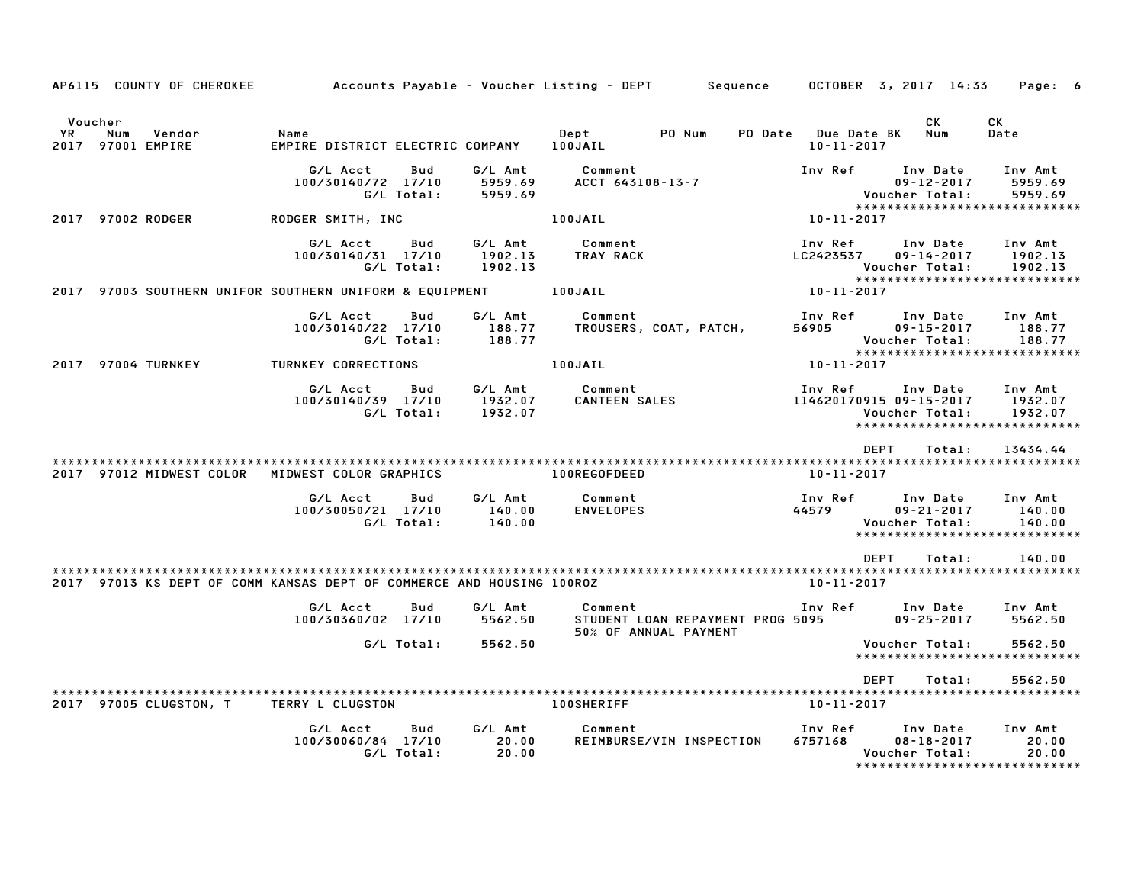|               | AP6115 COUNTY OF CHEROKEE                                             | Accounts Payable – Voucher Listing – DEPT    |                   |                               |                                 | Sequence                                                  |                                        | OCTOBER 3, 2017 14:33                                                                   | Page: 6                       |
|---------------|-----------------------------------------------------------------------|----------------------------------------------|-------------------|-------------------------------|---------------------------------|-----------------------------------------------------------|----------------------------------------|-----------------------------------------------------------------------------------------|-------------------------------|
| Voucher<br>YR | Num<br>Vendor<br>2017 97001 EMPIRE                                    | Name<br>EMPIRE DISTRICT ELECTRIC COMPANY     |                   |                               | Dept<br>100JAIL                 | PO Num<br>PO Date                                         | <b>Due Date BK</b><br>$10 - 11 - 2017$ | СK<br>Num                                                                               | CK<br>Date                    |
|               |                                                                       | G/L Acct<br>100/30140/72 17/10<br>G/L Total: | Bud               | G/L Amt<br>5959.69<br>5959.69 | Comment<br>ACCT 643108-13-7     |                                                           | Inv Ref                                | Inv Date<br>$09 - 12 - 2017$<br>Voucher Total:                                          | Inv Amt<br>5959.69<br>5959.69 |
|               | 2017 97002 RODGER                                                     | RODGER SMITH, INC                            |                   |                               | 100JAIL                         |                                                           | 10-11-2017                             | *****************************                                                           |                               |
|               |                                                                       | G/L Acct<br>100/30140/31 17/10<br>G/L Total: | Bud               | G/L Amt<br>1902.13<br>1902.13 | Comment<br>TRAY RACK            |                                                           | Inv Ref<br>LC2423537                   | Inv Date<br>$09 - 14 - 2017$<br>Voucher Total:                                          | Inv Amt<br>1902.13<br>1902.13 |
|               | 2017 97003 SOUTHERN UNIFOR SOUTHERN UNIFORM & EQUIPMENT               |                                              |                   |                               | 100JAIL                         |                                                           | 10-11-2017                             | ******************************                                                          |                               |
|               |                                                                       | G/L Acct<br>100/30140/22 17/10<br>G/L Total: | Bud               | G/L Amt<br>188.77<br>188.77   | Comment                         | TROUSERS, COAT, PATCH,                                    | Inv Ref<br>56905                       | Inv Date<br>$09 - 15 - 2017$<br>Voucher Total:                                          | Inv Amt<br>188.77<br>188.77   |
|               | 2017 97004 TURNKEY                                                    | TURNKEY CORRECTIONS                          |                   |                               | 100JAIL                         |                                                           | 10-11-2017                             | *****************************                                                           |                               |
|               |                                                                       | G/L Acct<br>100/30140/39 17/10<br>G/L Total: | Bud               | G/L Amt<br>1932.07<br>1932.07 | Comment<br><b>CANTEEN SALES</b> |                                                           | Inv Ref                                | Inv Date<br>114620170915 09-15-2017<br>Voucher Total:<br>****************************** | Inv Amt<br>1932.07<br>1932.07 |
|               |                                                                       |                                              |                   |                               |                                 |                                                           |                                        | <b>DEPT</b><br>Total:                                                                   | 13434.44                      |
|               | 2017 97012 MIDWEST COLOR                                              | MIDWEST COLOR GRAPHICS                       |                   |                               | 100REGOFDEED                    |                                                           | $10 - 11 - 2017$                       |                                                                                         |                               |
|               |                                                                       | G/L Acct<br>100/30050/21 17/10               | Bud<br>G/L Total: | G/L Amt<br>140.00<br>140.00   | Comment<br><b>ENVELOPES</b>     |                                                           | Inv Ref<br>44579                       | Inv Date<br>$09 - 21 - 2017$<br>Voucher Total:<br>*****************************         | Inv Amt<br>140.00<br>140.00   |
|               |                                                                       |                                              |                   |                               |                                 |                                                           |                                        | DEPT<br>Total:                                                                          | 140.00                        |
|               | 2017 97013 KS DEPT OF COMM KANSAS DEPT OF COMMERCE AND HOUSING 100ROZ |                                              |                   |                               |                                 |                                                           | $10 - 11 - 2017$                       |                                                                                         |                               |
|               |                                                                       | G/L Acct<br>100/30360/02 17/10               | Bud               | G/L Amt<br>5562.50            | Comment                         | STUDENT LOAN REPAYMENT PROG 5095<br>50% OF ANNUAL PAYMENT | Inv Ref                                | Inv Date<br>$09 - 25 - 2017$                                                            | Inv Amt<br>5562.50            |
|               |                                                                       |                                              | G/L Total:        | 5562.50                       |                                 |                                                           |                                        | Voucher Total:<br>*****************************                                         | 5562.50                       |
|               |                                                                       |                                              |                   |                               |                                 |                                                           |                                        | <b>DEPT</b><br>Total:                                                                   | 5562.50                       |
|               | 2017 97005 CLUGSTON, T                                                | TERRY L CLUGSTON                             |                   |                               | <b>100SHERIFF</b>               |                                                           | 10-11-2017                             |                                                                                         |                               |
|               |                                                                       | G/L Acct<br>100/30060/84 17/10               | Bud<br>G/L Total: | G/L Amt<br>20.00<br>20.00     | Comment                         | REIMBURSE/VIN INSPECTION                                  | Inv Ref<br>6757168                     | Inv Date<br>$08 - 18 - 2017$<br>Voucher Total:<br>******************************        | Inv Amt<br>20.00<br>20.00     |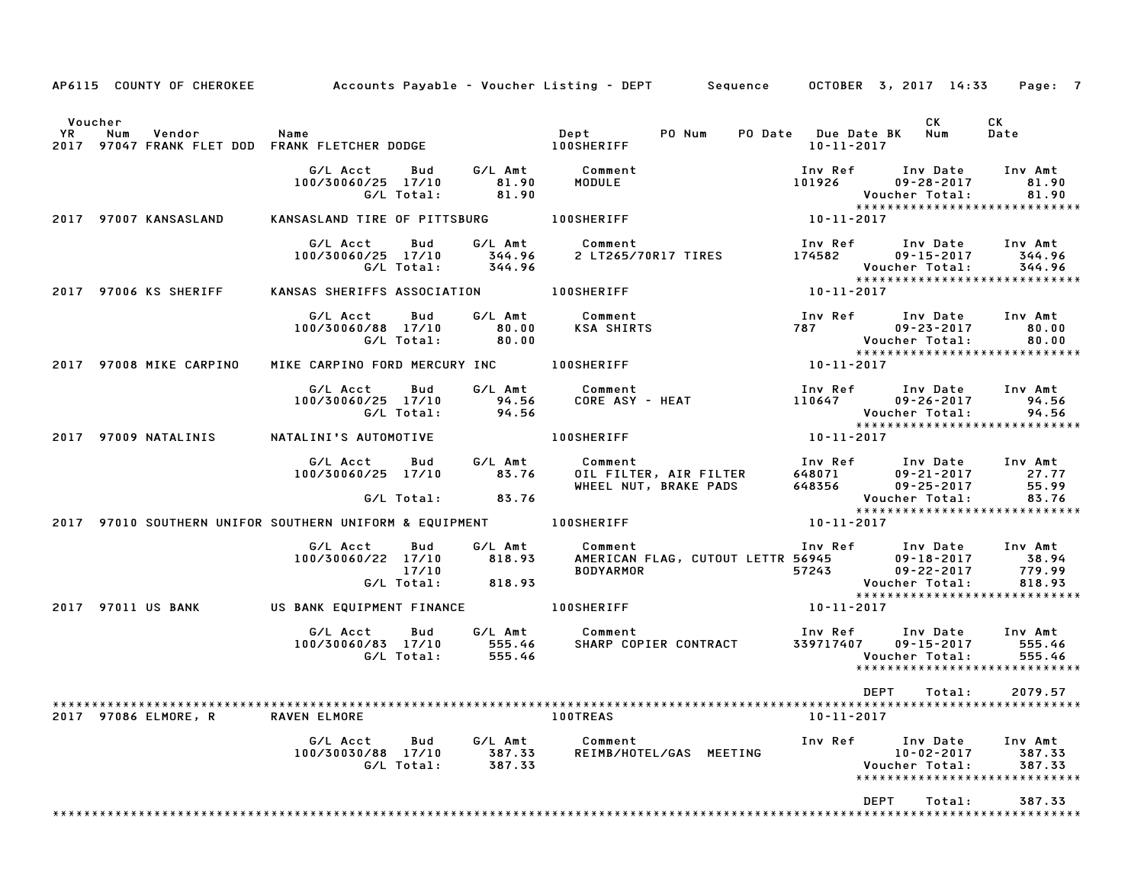|                         |                                                                    |                             |                                                                                                                            | AP6115 COUNTY OF CHEROKEE Accounts Payable - Voucher Listing - DEPT Sequence OCTOBER 3, 2017 14:33 Page: 7                                                 |
|-------------------------|--------------------------------------------------------------------|-----------------------------|----------------------------------------------------------------------------------------------------------------------------|------------------------------------------------------------------------------------------------------------------------------------------------------------|
| Voucher                 |                                                                    |                             |                                                                                                                            | CK<br>CK<br>PO Date Due Date BK Num<br>Date<br>10-11-2017                                                                                                  |
|                         | G/L Acct Bud<br>100/30060/25 17/10<br>G/L Total:                   | 81.90<br>81.90              | G/L Amt Comment<br>MODULE                                                                                                  | Inv Ref Inv Date Inv Amt<br>101926 09-28-2017<br>81.90<br>81.90<br>Voucher Total:<br>*****************************                                         |
| 2017 97007 KANSASLAND   | KANSASLAND TIRE OF PITTSBURG 100SHERIFF                            |                             |                                                                                                                            | $10 - 11 - 2017$                                                                                                                                           |
|                         | G/L Acct<br>Bud<br>100/30060/25 17/10<br>G/L Total:                | 344.96                      | G/L Amt Comment<br>344.96 2 LT265/70R17 TIRES                                                                              | Inv Ref      Inv Date     Inv Amt<br>174582<br>09-15-2017 344.96<br>Voucher Total:<br>344.96<br>*****************************                              |
| 2017 97006 KS SHERIFF   | KANSAS SHERIFFS ASSOCIATION 100SHERIFF                             |                             |                                                                                                                            | 10-11-2017                                                                                                                                                 |
|                         | G/L Acct<br>Bud<br>100/30060/88 17/10 80.00<br>G/L Total: 80.00    |                             | G/L Amt Comment<br>KSA SHIRTS                                                                                              | Inv Ref Inv Date Inv Amt<br>787 09-23-2017 80.00<br>Voucher Total: 80.00<br>*******************************                                                |
| 2017 97008 MIKE CARPINO | MIKE CARPINO FORD MERCURY INC 100SHERIFF                           |                             |                                                                                                                            | $10 - 11 - 2017$                                                                                                                                           |
|                         | G/L Acct<br>Bud<br>100/30060/25 17/10<br>G/L Total:                |                             | G/L Amt        Comment<br>94.56     CORE ASY<br>94.56<br>Comment<br>CORE ASY - HEAT                                        | Inv Ref       Inv Date<br>110647        09–26–2017<br>Inv Amt<br>94.56<br>Voucher Total:<br>94.56<br><b>VOUCNer ivtai.</b><br>**************************** |
| 2017 97009 NATALINIS    | NATALINI'S AUTOMOTIVE <b>100SHERIFF</b>                            |                             |                                                                                                                            | $10 - 11 - 2017$                                                                                                                                           |
|                         | G/L Acct<br>100/30060/25 17/10<br>$G/L$ Total: 83.76               | Bud G/LAmt<br>83.76         | Comment<br>Comment<br>OIL FILTER, AIR FILTER<br>WHEEL NUT, BRAKE PADS                                                      | Inv Ref      Inv Date     Inv Amt<br>$648071$<br>$648356$<br>$09-21-2017$<br>$09-25-2017$<br>$09 - 21 - 2017$ 27.77<br>55.99<br>Voucher Total:<br>83.76    |
|                         | 2017 97010 SOUTHERN UNIFOR SOUTHERN UNIFORM & EQUIPMENT 100SHERIFF |                             |                                                                                                                            | *****************************<br>10-11-2017                                                                                                                |
|                         | G/L Acct Bud<br>100/30060/22 17/10<br>17/10<br>G/L Total:          | 818.93<br>818.93            | G/L Amt Comment                                                                                                            | $09 - 18 - 2017$ 38.94<br>779.99<br><b>Voucher Total:</b><br>818.93                                                                                        |
| 2017 97011 US BANK      | US BANK EQUIPMENT FINANCE 100SHERIFF                               |                             |                                                                                                                            | *****************************<br>$10 - 11 - 2017$                                                                                                          |
|                         |                                                                    |                             | J.LACCT Bud G/LAmt Comment<br>100/30060/83 17/10 555.46 SHARP COPIER CONTRACT<br>G/LTotal: 555.46<br>SHARP COPIER CONTRACT | Inv Ref Inv Date<br>Inv Amt<br>339717407 09-15-2017<br>555.46<br>Voucher Total:<br>555.46<br>******************************                                |
|                         |                                                                    |                             |                                                                                                                            | DEPT<br>2079.57<br>Total:                                                                                                                                  |
| 2017 97086 ELMORE, R    | RAVEN ELMORE                                                       |                             | <b>100TREAS</b>                                                                                                            | $10 - 11 - 2017$                                                                                                                                           |
|                         | G/L Acct<br>Bud<br>100/30030/88 17/10<br>G/L Total:                | G/L Amt<br>387.33<br>387.33 | Comment<br>REIMB/HOTEL/GAS MEETING                                                                                         | Inv Ref<br>Inv Date<br>Inv Amt<br>$10 - 02 - 2017$<br>387.33<br>Voucher Total:<br>387.33<br>*****************************                                  |
|                         |                                                                    |                             |                                                                                                                            | DEPT<br>Total:<br>387.33                                                                                                                                   |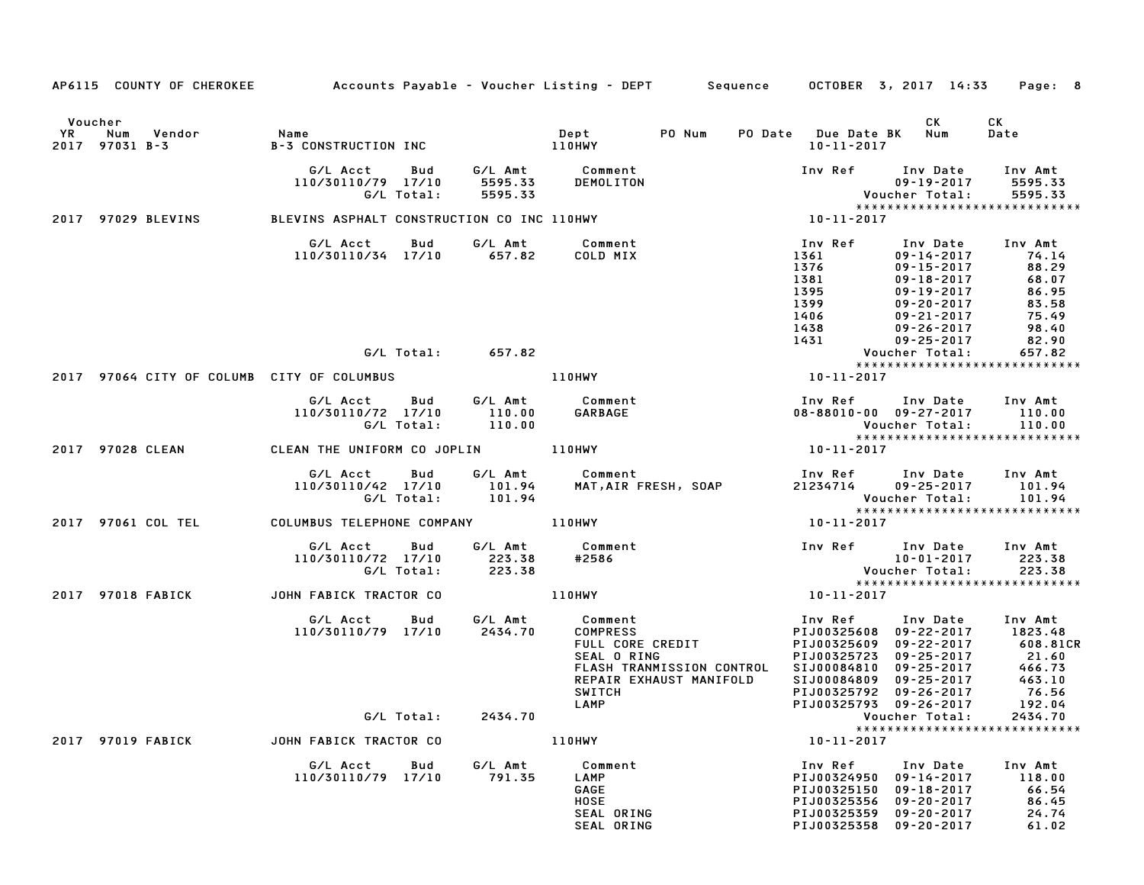|           |                                         |                                                                                                           |                     | AP6115 COUNTY OF CHEROKEE Accounts Payable - Voucher Listing - DEPT Sequence OCTOBER 3, 2017 14:33 Page: 8                                                                                            |                                                                                               |                                                                                                                              |                                                                                                                                |
|-----------|-----------------------------------------|-----------------------------------------------------------------------------------------------------------|---------------------|-------------------------------------------------------------------------------------------------------------------------------------------------------------------------------------------------------|-----------------------------------------------------------------------------------------------|------------------------------------------------------------------------------------------------------------------------------|--------------------------------------------------------------------------------------------------------------------------------|
| <b>YR</b> | Voucher<br>Num Vendor<br>2017 97031 B-3 | Name                                                                                                      |                     |                                                                                                                                                                                                       | PO Date Due Date BK Num<br>10-11-2017                                                         | CK                                                                                                                           | CK<br>Date                                                                                                                     |
|           |                                         | G/L Acct Bud                                                                                              |                     | DEMOLITON<br>110/30110/79 17/10 5595.33 DEMOLITON<br>G/L Total: 5595.33 DEMOLITON<br>BLEVINS ASPHALT CONSTRUCTION CO INC 110HWY 10-11-2017                                                            | Voucher Total: 5595.33<br>****************************                                        | Inv Ref Inv Date Inv Amt<br>09-19-2017                                                                                       | 5595.33                                                                                                                        |
|           | 2017 97029 BLEVINS                      |                                                                                                           |                     |                                                                                                                                                                                                       |                                                                                               |                                                                                                                              |                                                                                                                                |
|           |                                         | G/L Acct      Bud      G/L Amt         Comment<br>110/30110/34 17/10 657.82 COLD MIX                      |                     |                                                                                                                                                                                                       | Inv Ref Inv Date Inv Amt<br>1361<br>1376<br>1381<br>1395<br>1399<br>1406<br>1438<br>1431      | 09-14-2017 74.14<br>09-15-2017 88.29<br>$09 - 18 - 2017$<br>09-19-2017<br>09-20-2017<br>09-21-2017 75.49<br>09-26-2017 98.40 | 68.07<br>86.95<br>83.58                                                                                                        |
|           |                                         |                                                                                                           | $G/L$ Total: 657.82 |                                                                                                                                                                                                       |                                                                                               | 09-25-2017<br>'''''''<br>:Voucher Total                                                                                      | 82.90<br>657.82                                                                                                                |
|           |                                         |                                                                                                           |                     |                                                                                                                                                                                                       |                                                                                               |                                                                                                                              | *****************************                                                                                                  |
|           |                                         | 2017 97064 CITY OF COLUMB CITY OF COLUMBUS <b>110HWY</b>                                                  |                     |                                                                                                                                                                                                       | 10-11-2017                                                                                    |                                                                                                                              |                                                                                                                                |
|           |                                         | G/L Acct  Bud  G/L Amt  Comment<br>10/30110/72 17/10  110.00  GARBAGE<br>110/30110/72 17/10<br>G/L Total: | 110.00              |                                                                                                                                                                                                       |                                                                                               | Inv Ref      Inv Date     Inv Amt<br>08-88010-00 09-27-2017 110.00<br>Voucher Total: 110.00                                  |                                                                                                                                |
|           |                                         | 2017 97028 CLEAN CLEAN THE UNIFORM CO JOPLIN 110HWY                                                       |                     |                                                                                                                                                                                                       | $10 - 11 - 2017$                                                                              |                                                                                                                              | *****************************                                                                                                  |
|           |                                         |                                                                                                           |                     | یں کی کا اللہ کا اللہ کی کہ اس کا اللہ کی کہ ہے کہ اس کی کہ کا اللہ کی کہ ایک کا اللہ کی کہ ایک کا اللہ کے اس<br>کا 101.94 DDL.94 MAT,AIR FRESH, SOAP 21234714 199-25-2017 PM 94<br>G/L Total: 101.94 |                                                                                               |                                                                                                                              | Voucher Total: 101.94<br>****************************                                                                          |
|           |                                         | 2017 97061 COL TEL            COLUMBUS TELEPHONE COMPANY              110HWY                              |                     |                                                                                                                                                                                                       | 10-11-2017                                                                                    |                                                                                                                              |                                                                                                                                |
|           |                                         | G/L Acct Bud<br>110/30110/72 17/10<br>G/L Total:                                                          | 223.38<br>223.38    | G/L Amt Comment<br>#2586                                                                                                                                                                              | ur pate Inv Amt العام 10-01-2017<br>223.38 Voucher Total                                      | Inv Ref Inv Date Inv Amt                                                                                                     |                                                                                                                                |
|           | 2017 97018 FABICK                       | JOHN FABICK TRACTOR CO                                                                                    |                     | 110HWY                                                                                                                                                                                                | 10-11-2017                                                                                    |                                                                                                                              | *****************************                                                                                                  |
|           |                                         | G/L Acct<br>Bud<br>110/30110/79 17/10 2434.70                                                             |                     | G/L Amt Comment<br><b>COMPRESS</b><br>FULL CORE CREDIT<br>SEAL O RING<br>FLASH TRANMISSION CONTROL<br>REPAIR EXHAUST MANIFOLD<br><b>SWITCH</b>                                                        |                                                                                               | Inv Ref      Inv Date<br>PIJ00325608 09-22-2017 1823.48<br>SIJ00084809 09-25-2017<br>PIJ00325792 09-26-2017                  | Inv Amt<br>PIJ00325609 09-22-2017 608.81CR<br>PIJ00325723 09-25-2017 21.60<br>SIJ00084810 09-25-2017 466.73<br>463.10<br>76.56 |
|           |                                         | G/L Total:                                                                                                | 2434.70             | LAMP                                                                                                                                                                                                  | PIJ00325793 09-26-2017<br>Voucher Total:                                                      |                                                                                                                              | 192.04<br>2434.70                                                                                                              |
|           | 2017 97019 FABICK                       | JOHN FABICK TRACTOR CO                                                                                    |                     | 110HWY                                                                                                                                                                                                | 10-11-2017                                                                                    |                                                                                                                              | *****************************                                                                                                  |
|           |                                         | G/L Acct<br>Bud<br>110/30110/79 17/10                                                                     | G/L Amt<br>791.35   | Comment<br>LAMP<br>GAGE<br><b>HOSE</b><br>SEAL ORING<br>SEAL ORING                                                                                                                                    | Inv Ref<br>PIJ00324950<br>PIJ00325150<br>PIJ00325356<br>PIJ00325359<br>PIJ00325358 09-20-2017 | Inv Date<br>$09 - 14 - 2017$<br>$09 - 18 - 2017$<br>$09 - 20 - 2017$<br>09-20-2017                                           | Inv Amt<br>118.00<br>66.54<br>86.45<br>24.74<br>61.02                                                                          |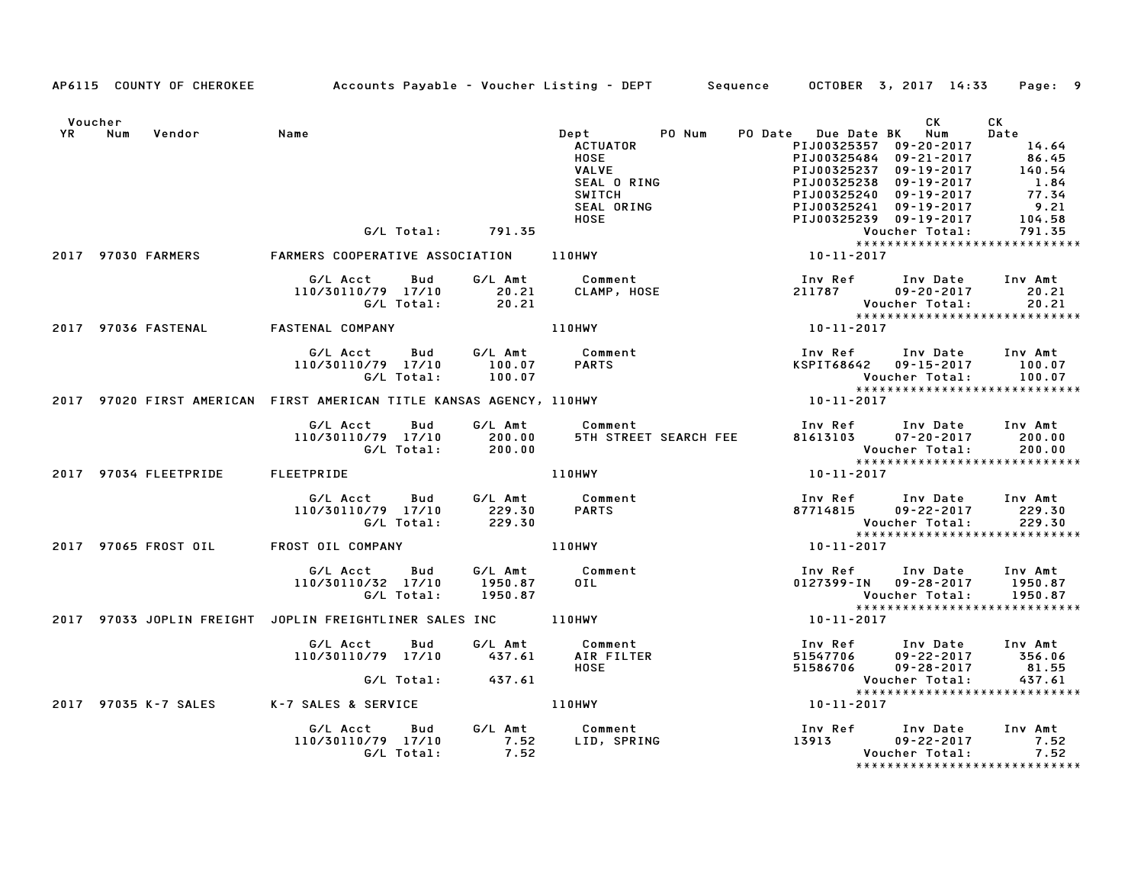|           | AP6115 COUNTY OF CHEROKEE | Accounts Payable – Voucher Listing – DEPT        Sequence     OCTOBER 3, 2017 14:33     Page:   9 |                               |                                                                                                                        |                                        |                                                                                                                                                                        |                                                                     |
|-----------|---------------------------|---------------------------------------------------------------------------------------------------|-------------------------------|------------------------------------------------------------------------------------------------------------------------|----------------------------------------|------------------------------------------------------------------------------------------------------------------------------------------------------------------------|---------------------------------------------------------------------|
| Voucher   |                           |                                                                                                   |                               |                                                                                                                        |                                        | CK                                                                                                                                                                     | CK                                                                  |
| <b>YR</b> | Num<br>Vendor             | Name                                                                                              |                               | PO Num<br>Dept<br><b>ACTUATOR</b><br><b>HOSE</b><br>VALVE<br>SEAL O RING<br><b>SWITCH</b><br>SEAL ORING<br><b>HOSE</b> | PO Date Due Date BK Num<br>PIJ00325238 | PIJ00325357 09-20-2017<br>PIJ00325484 09-21-2017<br>PIJ00325237 09-19-2017<br>09-19-2017<br>PIJ00325240 09-19-2017<br>PIJ00325241 09-19-2017<br>PIJ00325239 09-19-2017 | Date<br>14.64<br>86.45<br>140.54<br>1.84<br>77.34<br>9.21<br>104.58 |
|           |                           | G/L Total:                                                                                        | 791.35                        |                                                                                                                        |                                        | Voucher Total:<br>*****************************                                                                                                                        | 791.35                                                              |
|           | 2017 97030 FARMERS        | FARMERS COOPERATIVE ASSOCIATION                                                                   |                               | $110$ HWY                                                                                                              | 10-11-2017                             |                                                                                                                                                                        |                                                                     |
|           |                           | G/L Acct<br>Bud<br>110/30110/79 17/10<br>G/L Total:                                               | G/L Amt<br>20.21<br>20.21     | Comment<br>CLAMP, HOSE                                                                                                 | 211787                                 | Inv Ref Inv Date<br>$09 - 20 - 2017$<br>Voucher Total:                                                                                                                 | Inv Amt<br>20.21<br>20.21                                           |
|           | 2017 97036 FASTENAL       | <b>FASTENAL COMPANY</b>                                                                           |                               | <b>110HWY</b>                                                                                                          | 10-11-2017                             |                                                                                                                                                                        |                                                                     |
|           |                           | G/L Acct<br><b>Bud</b><br>110/30110/79 17/10<br>G/L Total:                                        | G/L Amt<br>100.07<br>100.07   | Comment<br><b>PARTS</b>                                                                                                | Inv Ref<br>KSPIT68642                  | Inv Date<br>09-15-2017<br>Voucher Total:<br>*****************************                                                                                              | Inv Amt<br>100.07<br>100.07                                         |
|           |                           | 2017 97020 FIRST AMERICAN FIRST AMERICAN TITLE KANSAS AGENCY, 110HWY                              |                               |                                                                                                                        | 10-11-2017                             |                                                                                                                                                                        |                                                                     |
|           |                           | G/L Acct<br>Bud<br>110/30110/79 17/10<br>G/L Total:                                               | G/L Amt<br>200.00<br>200.00   | Comment<br>5TH STREET SEARCH FEE                                                                                       | 81613103                               | Inv Ref Inv Date<br>$07 - 20 - 2017$<br>Voucher Total:<br>*****************************                                                                                | Inv Amt<br>200.00<br>200.00                                         |
|           | 2017 97034 FLEETPRIDE     | FLEETPRIDE                                                                                        |                               | <b>110HWY</b>                                                                                                          | 10-11-2017                             |                                                                                                                                                                        |                                                                     |
|           |                           | G/L Acct<br>Bud<br>110/30110/79 17/10<br>G/L Total:                                               | G/L Amt<br>229.30<br>229.30   | Comment<br><b>PARTS</b>                                                                                                | 87714815                               | Inv Ref Inv Date<br>$09 - 22 - 2017$<br>Voucher Total:<br>*****************************                                                                                | Inv Amt<br>229.30<br>229.30                                         |
|           | 2017 97065 FROST OIL      | FROST OIL COMPANY                                                                                 |                               | 110HWY                                                                                                                 | 10-11-2017                             |                                                                                                                                                                        |                                                                     |
|           |                           | G/L Acct<br>Bud<br>110/30110/32 17/10<br>G/L Total:                                               | G/L Amt<br>1950.87<br>1950.87 | Comment<br>$0$ IL                                                                                                      | Inv Ref                                | Inv Date<br>0127399-IN 09-28-2017<br>Voucher Total:<br>*****************************                                                                                   | Inv Amt<br>1950.87<br>1950.87                                       |
|           |                           | 2017 97033 JOPLIN FREIGHT JOPLIN FREIGHTLINER SALES INC                                           |                               | 110HWY                                                                                                                 | 10-11-2017                             |                                                                                                                                                                        |                                                                     |
|           |                           | G/L Acct<br>Bud<br>110/30110/79 17/10                                                             | G/L Amt<br>437.61             | Comment<br>AIR FILTER<br>HOSE                                                                                          | 51547706<br>51586706                   | Inv Ref      Inv Date<br>$09 - 22 - 2017$<br>09-28-2017                                                                                                                | Inv Amt<br>356.06<br>81.55                                          |
|           |                           | G/L Total:                                                                                        | 437.61                        |                                                                                                                        |                                        | Voucher Total:                                                                                                                                                         | 437.61<br>*****************************                             |
|           | 2017 97035 K-7 SALES      | K-7 SALES & SERVICE                                                                               |                               | 110HWY                                                                                                                 | 10-11-2017                             |                                                                                                                                                                        |                                                                     |
|           |                           | G/L Acct<br>Bud<br>110/30110/79 17/10<br>G/L Total:                                               | 7.52<br>7.52                  | G/L Amt Comment<br>LID, SPRING                                                                                         | Inv Ref Inv Date                       | 13913 09-22-2017<br>Voucher Total:                                                                                                                                     | Inv Amt<br>7.52<br>7.52<br>*****************************            |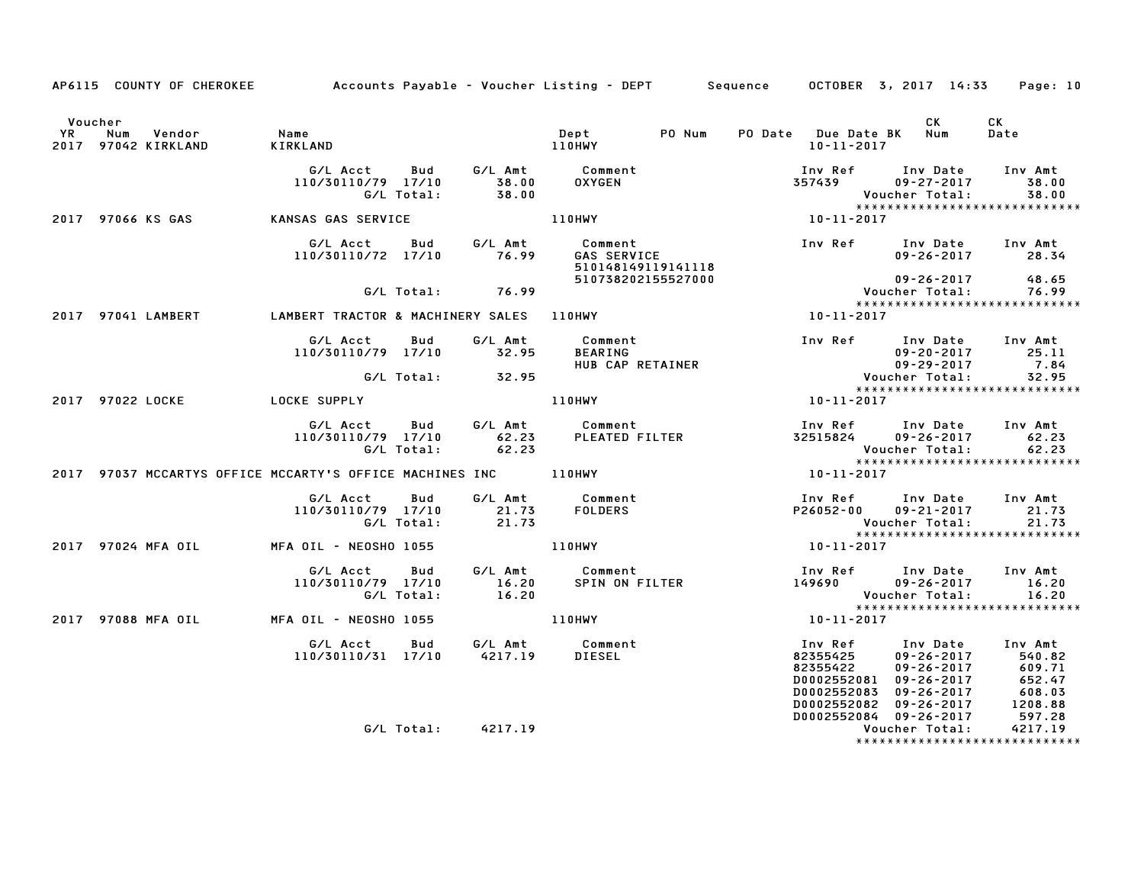|                      |                     | AP6115 COUNTY OF CHEROKEE Accounts Payable - Voucher Listing - DEPT Sequence OCTOBER 3, 2017 14:33                                                                                                                          |                    |                                   |                                                                                                                                                                                                                                                                  |                  |                | Page: 10                                                                                                          |
|----------------------|---------------------|-----------------------------------------------------------------------------------------------------------------------------------------------------------------------------------------------------------------------------|--------------------|-----------------------------------|------------------------------------------------------------------------------------------------------------------------------------------------------------------------------------------------------------------------------------------------------------------|------------------|----------------|-------------------------------------------------------------------------------------------------------------------|
| Voucher<br><b>YR</b> | 2017 97042 KIRKLAND | ne,<br>Num Vendor   Name<br>97042 KIRKLAND   KIRKLAND                                                                                                                                                                       |                    |                                   |                                                                                                                                                                                                                                                                  |                  | CK 1           | CK<br>Date                                                                                                        |
|                      |                     |                                                                                                                                                                                                                             |                    |                                   |                                                                                                                                                                                                                                                                  |                  |                |                                                                                                                   |
|                      |                     | 2017 97066 KS GAS KANSAS GAS SERVICE                                                                                                                                                                                        |                    | 110HWY                            |                                                                                                                                                                                                                                                                  |                  |                | *****************************                                                                                     |
|                      |                     | 110/30110/72 17/10 76.99                                                                                                                                                                                                    |                    | GAS SERVICE<br>510148149119141118 |                                                                                                                                                                                                                                                                  |                  |                |                                                                                                                   |
|                      |                     |                                                                                                                                                                                                                             | G/L Total: 76.99   | 510738202155527000                |                                                                                                                                                                                                                                                                  |                  |                |                                                                                                                   |
|                      |                     | 2017 97041 LAMBERT LAMBERT TRACTOR & MACHINERY SALES 110HWY                                                                                                                                                                 |                    |                                   |                                                                                                                                                                                                                                                                  |                  |                | *****************************                                                                                     |
|                      |                     | G/LAcct Bud G/LAmt Comment<br>110/30110/79 17/10 32.95 BEARING 109-20-2017 25.11<br>HUBCAPRETAINER 199-29-2017 7.84<br>G/LTotal: 32.95 HUBCAPRETAINER 99-29-2017 7.84<br>Sample 109-29-2017 7.84<br>Sample 109-29-2017 7.84 |                    |                                   |                                                                                                                                                                                                                                                                  |                  |                |                                                                                                                   |
|                      |                     |                                                                                                                                                                                                                             |                    |                                   |                                                                                                                                                                                                                                                                  |                  |                | *****************************                                                                                     |
|                      |                     | 2017 97022 LOCKE COCKE SUPPLY                                                                                                                                                                                               |                    | 110HWY                            | $10 - 11 - 2017$                                                                                                                                                                                                                                                 |                  |                |                                                                                                                   |
|                      |                     |                                                                                                                                                                                                                             |                    |                                   |                                                                                                                                                                                                                                                                  |                  |                | Inv Ref Inv Date Inv Amt<br>32515824 09-26-2017 62.23<br>Voucher Total: 62.23<br>*******************************  |
|                      |                     | 2017 97037 MCCARTYS OFFICE MCCARTY'S OFFICE MACHINES INC 110HWY                                                                                                                                                             |                    |                                   |                                                                                                                                                                                                                                                                  | $10 - 11 - 2017$ |                |                                                                                                                   |
|                      |                     | G/L Acct  Bud  G/L Amt  Comment<br>110/30110/79  17/10  21.73  FOLDERS<br>G/L Total:  21.73                                                                                                                                 |                    |                                   |                                                                                                                                                                                                                                                                  |                  |                | Inv Ref Inv Date Inv Amt<br>P26052-00 09-21-2017 21.73<br>Voucher Total: 21.73<br>******************************* |
|                      |                     | 2017 97024 MFA OIL MFA OIL - NEOSHO 1055 110HWY                                                                                                                                                                             |                    |                                   |                                                                                                                                                                                                                                                                  | $10 - 11 - 2017$ |                |                                                                                                                   |
|                      |                     |                                                                                                                                                                                                                             |                    |                                   |                                                                                                                                                                                                                                                                  |                  |                | *****************************                                                                                     |
|                      |                     | 2017 97088 MFA OIL             MFA OIL - NEOSHO 1055                         110HWY                                                                                                                                         |                    |                                   |                                                                                                                                                                                                                                                                  | $10 - 11 - 2017$ |                |                                                                                                                   |
|                      |                     |                                                                                                                                                                                                                             |                    |                                   | 100002552084<br>DO002552082<br>DO002552082<br>DO002552083<br>DO002552083<br>DO002552083<br>DO002552083<br>DO002552082<br>DO002552084<br>DO002552084<br>DO002552084<br>DO002552084<br>DO002552084<br>DO002552084<br>DO002552084<br>DO002552084<br>DO002552084<br> |                  |                |                                                                                                                   |
|                      |                     |                                                                                                                                                                                                                             | G/L Total: 4217.19 |                                   |                                                                                                                                                                                                                                                                  |                  | Voucher Total: | 4217.19<br>*****************************                                                                          |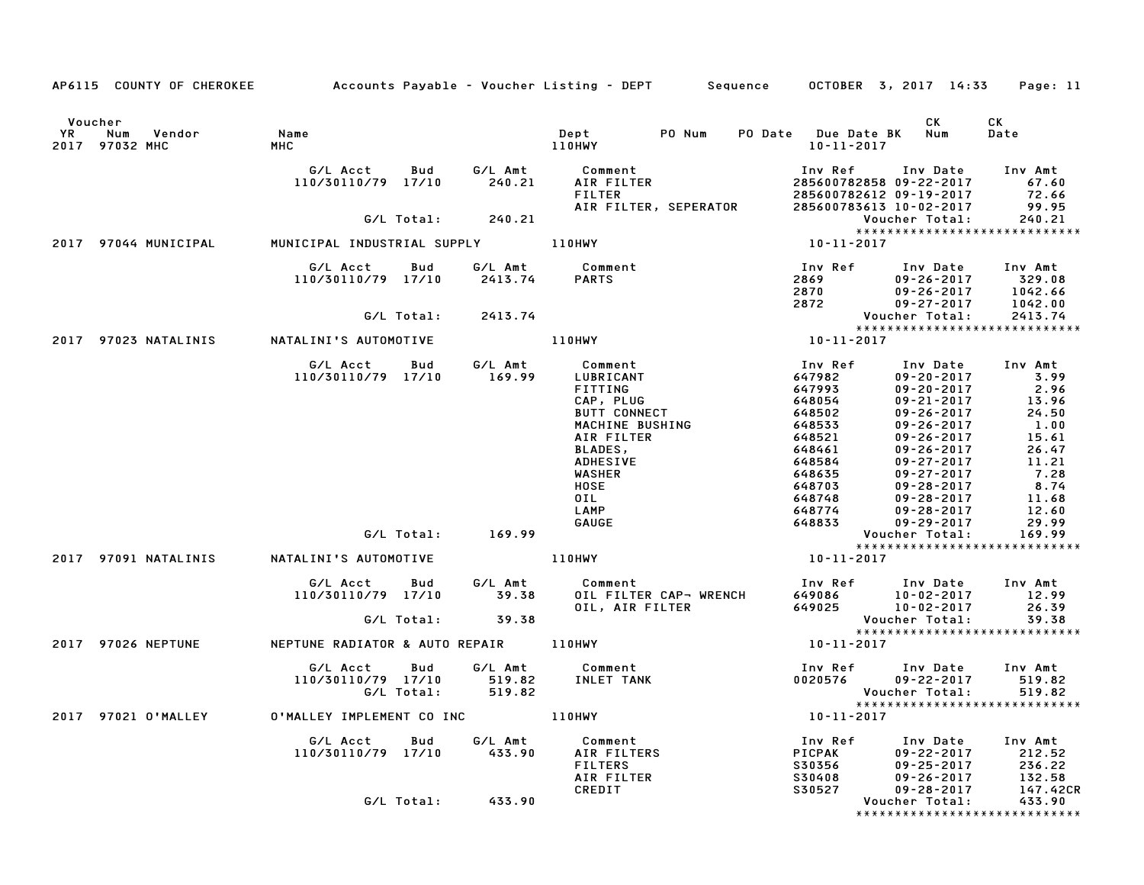|                                        | AP6115 COUNTY OF CHEROKEE | Accounts Payable – Voucher Listing – DEPT         Sequence       OCTOBER  3, 2017  14:33 |                   |                             |                                                                                                      |        |                                                                     |                                                                                                                                  | Page: 11                                                   |
|----------------------------------------|---------------------------|------------------------------------------------------------------------------------------|-------------------|-----------------------------|------------------------------------------------------------------------------------------------------|--------|---------------------------------------------------------------------|----------------------------------------------------------------------------------------------------------------------------------|------------------------------------------------------------|
| Voucher<br>YR<br>Num<br>2017 97032 MHC | Vendor                    | Name<br>мнс                                                                              |                   |                             | Dept<br>110HWY                                                                                       | PO Num | PO Date Due Date BK<br>10-11-2017                                   | CK.<br>Num                                                                                                                       | CK<br>Date                                                 |
|                                        |                           | G/L Acct<br>110/30110/79 17/10                                                           | Bud               | G/L Amt<br>240.21           | Comment<br>AIR FILTER<br><b>FILTER</b>                                                               |        | Inv Ref                                                             | Inv Date<br>285600782858 09-22-2017<br>285600782612 09-19-2017                                                                   | Inv Amt<br>67.60<br>72.66                                  |
|                                        |                           |                                                                                          | G/L Total:        | 240.21                      | AIR FILTER, SEPERATOR                                                                                |        |                                                                     | 285600783613 10-02-2017<br>Voucher Total:                                                                                        | 99.95<br>240.21                                            |
| 2017 97044 MUNICIPAL                   |                           | MUNICIPAL INDUSTRIAL SUPPLY                                                              |                   |                             | 110HWY                                                                                               |        | 10-11-2017                                                          |                                                                                                                                  | *****************************                              |
|                                        |                           | G/L Acct<br>110/30110/79 17/10                                                           | Bud               | G/L Amt<br>2413.74          | Comment<br><b>PARTS</b>                                                                              |        | Inv Ref<br>2869<br>2870                                             | Inv Date<br>$09 - 26 - 2017$<br>$09 - 26 - 2017$                                                                                 | Inv Amt<br>329.08<br>1042.66                               |
|                                        |                           |                                                                                          | G/L Total:        | 2413.74                     |                                                                                                      |        | 2872                                                                | $09 - 27 - 2017$<br>Voucher Total:                                                                                               | 1042.00<br>2413.74                                         |
| 2017                                   | 97023 NATALINIS           | NATALINI'S AUTOMOTIVE                                                                    |                   |                             | 110HWY                                                                                               |        | 10-11-2017                                                          |                                                                                                                                  | *****************************                              |
|                                        |                           |                                                                                          |                   |                             |                                                                                                      |        |                                                                     |                                                                                                                                  |                                                            |
|                                        |                           | G/L Acct<br>110/30110/79 17/10                                                           | Bud               | G/L Amt<br>169.99           | Comment<br>LUBRICANT<br>FITTING<br>CAP, PLUG<br><b>BUTT CONNECT</b><br>MACHINE BUSHING<br>AIR FILTER |        | Inv Ref<br>647982<br>647993<br>648054<br>648502<br>648533<br>648521 | Inv Date<br>$09 - 20 - 2017$<br>$09 - 20 - 2017$<br>$09 - 21 - 2017$<br>$09 - 26 - 2017$<br>$09 - 26 - 2017$<br>$09 - 26 - 2017$ | Inv Amt<br>3.99<br>2.96<br>13.96<br>24.50<br>1.00<br>15.61 |
|                                        |                           |                                                                                          |                   |                             | BLADES,<br><b>ADHESIVE</b><br>WASHER<br><b>HOSE</b><br>OIL<br>LAMP                                   |        | 648461<br>648584<br>648635<br>648703<br>648748<br>648774            | $09 - 26 - 2017$<br>$09 - 27 - 2017$<br>$09 - 27 - 2017$<br>$09 - 28 - 2017$<br>$09 - 28 - 2017$<br>$09 - 28 - 2017$             | 26.47<br>11.21<br>7.28<br>8.74<br>11.68<br>12.60           |
|                                        |                           |                                                                                          | G/L Total:        | 169.99                      | GAUGE                                                                                                |        | 648833                                                              | $09 - 29 - 2017$<br>Voucher Total:                                                                                               | 29.99<br>169.99                                            |
| 2017 97091 NATALINIS                   |                           | NATALINI'S AUTOMOTIVE                                                                    |                   |                             | 110HWY                                                                                               |        | 10-11-2017                                                          |                                                                                                                                  | *****************************                              |
|                                        |                           | G/L Acct<br>110/30110/79 17/10                                                           | Bud               | G/L Amt<br>39.38            | Comment<br>OIL FILTER CAP- WRENCH<br>OIL, AIR FILTER                                                 |        | Inv Ref<br>649086<br>649025                                         | Inv Date<br>10-02-2017<br>$10 - 02 - 2017$                                                                                       | Inv Amt<br>12.99<br>26.39                                  |
|                                        |                           |                                                                                          | G/L Total:        | 39.38                       |                                                                                                      |        |                                                                     | Voucher Total:                                                                                                                   | 39.38<br>*****************************                     |
| 2017 97026 NEPTUNE                     |                           | NEPTUNE RADIATOR & AUTO REPAIR 110HWY                                                    |                   |                             |                                                                                                      |        | 10-11-2017                                                          |                                                                                                                                  |                                                            |
|                                        |                           | G/L Acct<br>110/30110/79 17/10                                                           | Bud<br>G/L Total: | G/L Amt<br>519.82<br>519.82 | Comment<br>INLET TANK                                                                                |        | 0020576                                                             | Inv Ref Inv Date<br>09-22-2017<br>Voucher Total:                                                                                 | Inv Amt<br>519.82<br>519.82                                |
| 2017                                   | 97021 O'MALLEY            | O'MALLEY IMPLEMENT CO INC                                                                |                   |                             | 110HWY                                                                                               |        | $10 - 11 - 2017$                                                    |                                                                                                                                  | *****************************                              |
|                                        |                           | G/L Acct<br>110/30110/79 17/10                                                           | Bud               | G/L Amt<br>433.90           | Comment<br>AIR FILTERS<br><b>FILTERS</b><br>AIR FILTER<br>CREDIT                                     |        | Inv Ref<br>PICPAK<br>S30356<br>S30408<br>S30527                     | Inv Date<br>09-22-2017<br>09-25-2017<br>$09 - 26 - 2017$<br>09-28-2017                                                           | Inv Amt<br>212.52<br>236.22<br>132.58<br>147.42CR          |
|                                        |                           |                                                                                          | G/L Total:        | 433.90                      |                                                                                                      |        |                                                                     | Voucher Total:                                                                                                                   | 433.90<br>*****************************                    |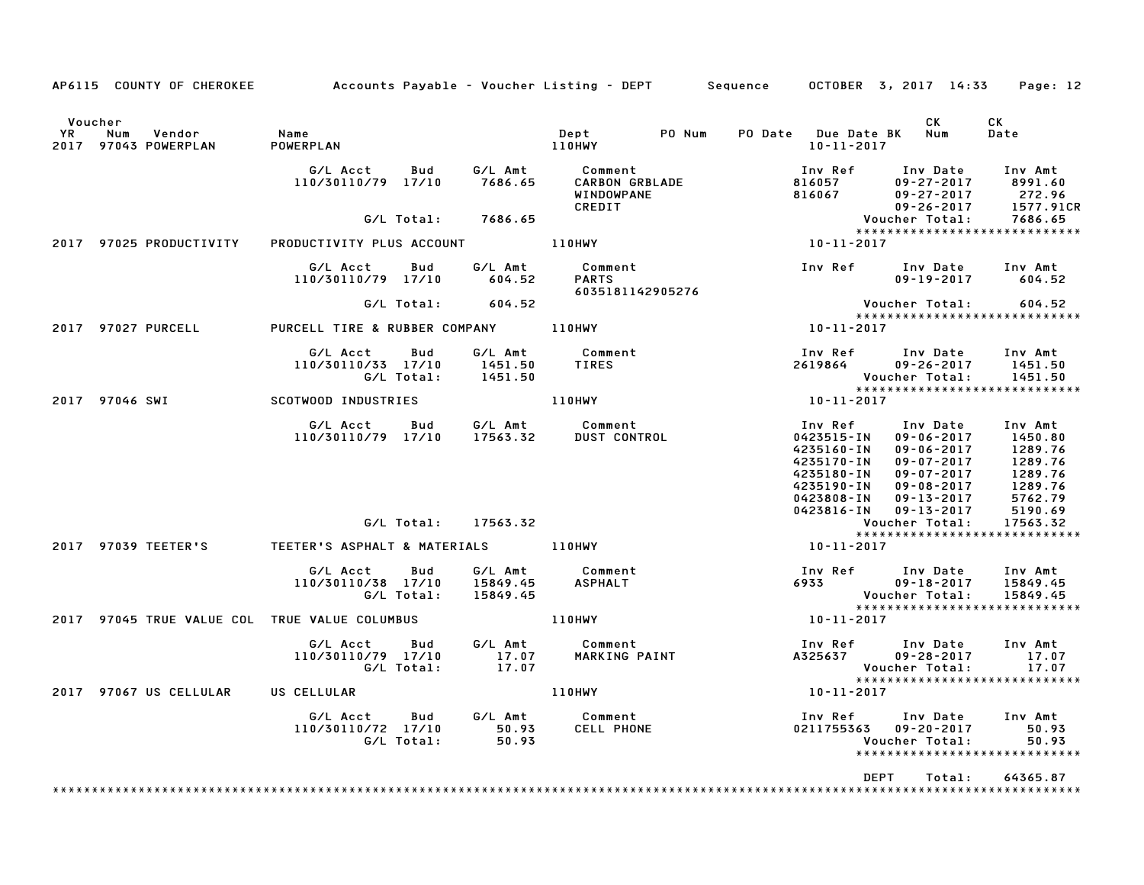|             | AP6115 COUNTY OF CHEROKEE                     | Accounts Payable – Voucher Listing – DEPT         Sequence |                   |                                 |                                                          |        |                                                                                                           | OCTOBER 3, 2017 14:33                                                                                                                                | Page: 12                                                                             |
|-------------|-----------------------------------------------|------------------------------------------------------------|-------------------|---------------------------------|----------------------------------------------------------|--------|-----------------------------------------------------------------------------------------------------------|------------------------------------------------------------------------------------------------------------------------------------------------------|--------------------------------------------------------------------------------------|
|             | Voucher                                       |                                                            |                   |                                 |                                                          |        |                                                                                                           | CK                                                                                                                                                   | СK                                                                                   |
| YR.<br>2017 | Num<br>Vendor<br>97043 POWERPLAN              | Name<br>POWERPLAN                                          |                   |                                 | Dept<br>110HWY                                           | PO Num | PO Date Due Date BK<br>$10 - 11 - 2017$                                                                   | Num                                                                                                                                                  | Date                                                                                 |
|             |                                               | G/L Acct<br>110/30110/79 17/10                             | Bud               | G/L Amt<br>7686.65              | Comment<br><b>CARBON GRBLADE</b><br>WINDOWPANE<br>CREDIT |        | Inv Ref<br>816057<br>816067                                                                               | Inv Date<br>$09 - 27 - 2017$<br>$09 - 27 - 2017$<br>$09 - 26 - 2017$                                                                                 | Inv Amt<br>8991.60<br>272.96<br>1577.91CR                                            |
|             |                                               |                                                            | G/L Total:        | 7686.65                         |                                                          |        |                                                                                                           | Voucher Total:                                                                                                                                       | 7686.65                                                                              |
|             |                                               |                                                            |                   |                                 |                                                          |        |                                                                                                           | ******************************                                                                                                                       |                                                                                      |
|             | 2017 97025 PRODUCTIVITY                       | PRODUCTIVITY PLUS ACCOUNT                                  |                   |                                 | 110HWY                                                   |        | 10-11-2017                                                                                                |                                                                                                                                                      |                                                                                      |
|             |                                               | G/L Acct<br>110/30110/79 17/10                             | Bud               | G/L Amt<br>604.52               | Comment<br><b>PARTS</b><br>6035181142905276              |        | Inv Ref                                                                                                   | Inv Date<br>$09 - 19 - 2017$                                                                                                                         | Inv Amt<br>604.52                                                                    |
|             |                                               |                                                            | G/L Total:        | 604.52                          |                                                          |        |                                                                                                           | Voucher Total:                                                                                                                                       | 604.52                                                                               |
|             |                                               |                                                            |                   |                                 |                                                          |        |                                                                                                           |                                                                                                                                                      | *****************************                                                        |
|             | 2017 97027 PURCELL                            | PURCELL TIRE & RUBBER COMPANY                              |                   |                                 | 110HWY                                                   |        | 10-11-2017                                                                                                |                                                                                                                                                      |                                                                                      |
|             |                                               | G/L Acct<br>110/30110/33 17/10                             | Bud<br>G/L Total: | G/L Amt<br>1451.50<br>1451.50   | Comment<br><b>TIRES</b>                                  |        | Inv Ref<br>2619864                                                                                        | Inv Date<br>$09 - 26 - 2017$<br>Voucher Total:                                                                                                       | Inv Amt<br>1451.50<br>1451.50                                                        |
|             | 2017 97046 SWI                                | SCOTWOOD INDUSTRIES                                        |                   |                                 | 110HWY                                                   |        | 10-11-2017                                                                                                | *****************************                                                                                                                        |                                                                                      |
|             |                                               |                                                            |                   |                                 |                                                          |        |                                                                                                           |                                                                                                                                                      |                                                                                      |
|             |                                               | G/L Acct<br>110/30110/79 17/10                             | Bud               | G/L Amt<br>17563.32             | Comment<br><b>DUST CONTROL</b>                           |        | Inv Ref<br>0423515-IN<br>4235160-IN<br>4235170-IN<br>4235180-IN<br>4235190-IN<br>0423808-IN<br>0423816-IN | Inv Date<br>$09 - 06 - 2017$<br>$09 - 06 - 2017$<br>$09 - 07 - 2017$<br>$09 - 07 - 2017$<br>$09 - 08 - 2017$<br>$09 - 13 - 2017$<br>$09 - 13 - 2017$ | Inv Amt<br>1450.80<br>1289.76<br>1289.76<br>1289.76<br>1289.76<br>5762.79<br>5190.69 |
|             |                                               |                                                            | G/L Total:        | 17563.32                        |                                                          |        |                                                                                                           | Voucher Total:                                                                                                                                       | 17563.32                                                                             |
|             |                                               |                                                            |                   |                                 |                                                          |        |                                                                                                           |                                                                                                                                                      | *****************************                                                        |
|             | 2017 97039 TEETER'S                           | TEETER'S ASPHALT & MATERIALS                               |                   |                                 | <b>110HWY</b>                                            |        | 10-11-2017                                                                                                |                                                                                                                                                      |                                                                                      |
|             |                                               | G/L Acct<br>110/30110/38 17/10                             | Bud<br>G/L Total: | G/L Amt<br>15849.45<br>15849.45 | Comment<br><b>ASPHALT</b>                                |        | Inv Ref<br>6933                                                                                           | Inv Date<br>$09 - 18 - 2017$<br>Voucher Total:                                                                                                       | Inv Amt<br>15849.45<br>15849.45                                                      |
|             | 2017 97045 TRUE VALUE COL TRUE VALUE COLUMBUS |                                                            |                   |                                 | 110HWY                                                   |        | 10-11-2017                                                                                                | *****************************                                                                                                                        |                                                                                      |
|             |                                               |                                                            |                   |                                 |                                                          |        |                                                                                                           |                                                                                                                                                      |                                                                                      |
|             |                                               | G/L Acct<br>110/30110/79 17/10                             | Bud<br>G/L Total: | G/L Amt<br>17.07<br>17.07       | Comment<br>MARKING PAINT                                 |        | Inv Ref<br>A325637                                                                                        | Inv Date<br>$09 - 28 - 2017$<br>Voucher Total:<br>******************************                                                                     | Inv Amt<br>17.07<br>17.07                                                            |
|             | 2017 97067 US CELLULAR                        | US CELLULAR                                                |                   |                                 | <b>110HWY</b>                                            |        | 10-11-2017                                                                                                |                                                                                                                                                      |                                                                                      |
|             |                                               | G/L Acct<br>110/30110/72 17/10                             | Bud<br>G/L Total: | G/L Amt<br>50.93<br>50.93       | Comment<br>CELL PHONE                                    |        | Inv Ref                                                                                                   | Inv Date<br>0211755363  09-20-2017<br>Voucher Total:                                                                                                 | Inv Amt<br>50.93<br>50.93<br>*****************************                           |
|             |                                               |                                                            |                   |                                 |                                                          |        | <b>DEPT</b>                                                                                               | Total:                                                                                                                                               | 64365.87                                                                             |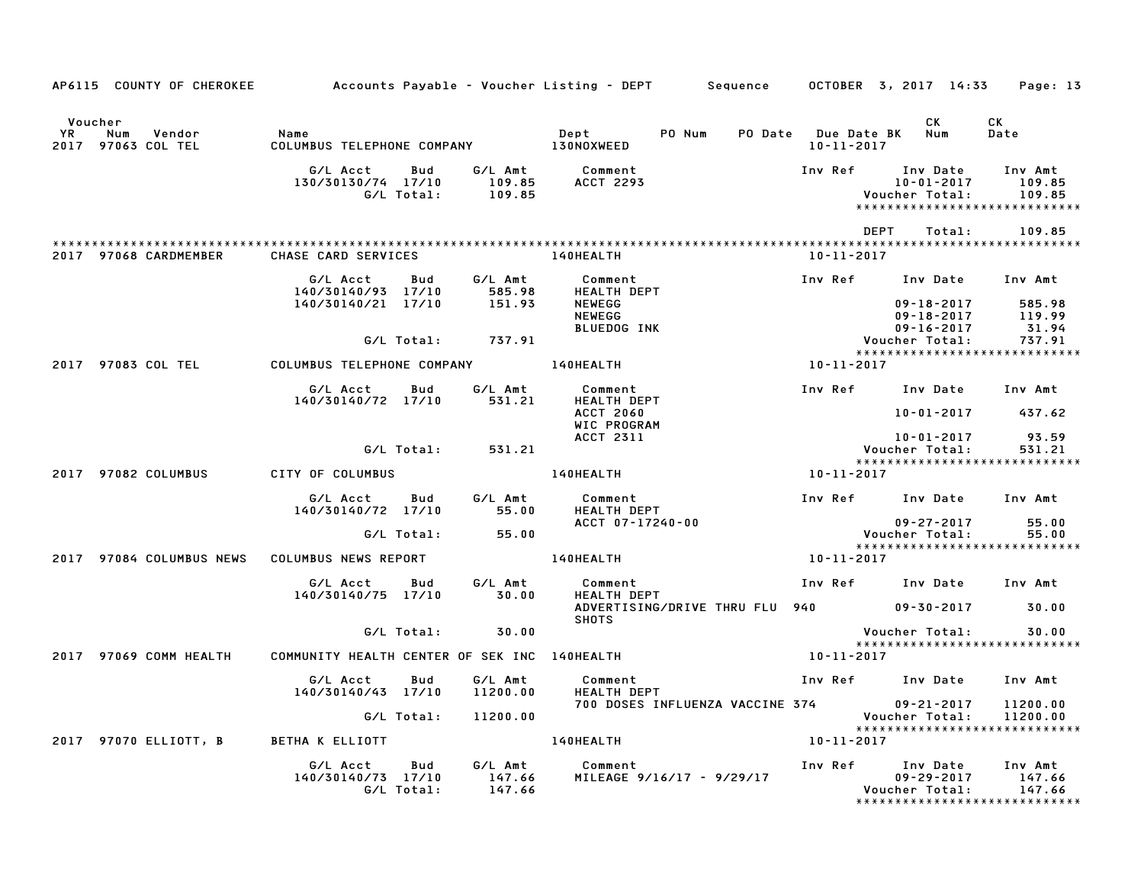| AP6115 COUNTY OF CHEROKEE                           |                                              |                   |                             | Accounts Payable – Voucher Listing – DEPT         Sequence |                                             | OCTOBER 3, 2017 14:33                                                     | Page: 13                    |
|-----------------------------------------------------|----------------------------------------------|-------------------|-----------------------------|------------------------------------------------------------|---------------------------------------------|---------------------------------------------------------------------------|-----------------------------|
| Voucher                                             |                                              |                   |                             |                                                            |                                             | CK.                                                                       | CK                          |
| YR<br>Num<br>Vendor<br><b>97063 COL TEL</b><br>2017 | Name<br>COLUMBUS TELEPHONE COMPANY           |                   |                             | Dept<br>PO Num<br><b>130NOXWEED</b>                        | PO Date Due Date BK Num<br>$10 - 11 - 2017$ |                                                                           | Date                        |
|                                                     | G/L Acct<br>130/30130/74 17/10               | Bud<br>G/L Total: | G/L Amt<br>109.85<br>109.85 | Comment<br><b>ACCT 2293</b>                                | Inv Ref                                     | Inv Date<br>10-01-2017<br>Voucher Total:<br>***************************** | Inv Amt<br>109.85<br>109.85 |
|                                                     |                                              |                   |                             |                                                            |                                             | DEPT<br>Total:                                                            | 109.85                      |
| 2017 97068 CARDMEMBER                               | CHASE CARD SERVICES                          |                   |                             | 140HEALTH                                                  | $10 - 11 - 2017$                            |                                                                           |                             |
|                                                     | G/L Acct<br>140/30140/93 17/10               | Bud               | G/L Amt<br>585.98           | Comment<br><b>HEALTH DEPT</b>                              |                                             | Inv Ref Inv Date                                                          | Inv Amt                     |
|                                                     | 140/30140/21 17/10                           |                   | 151.93                      | <b>NEWEGG</b><br><b>NEWEGG</b>                             |                                             | $09 - 18 - 2017$<br>09-18-2017                                            | 585.98<br>119.99            |
|                                                     |                                              | G/L Total:        | 737.91                      | <b>BLUEDOG INK</b>                                         |                                             | $09 - 16 - 2017$<br>Voucher Total:                                        | 31.94<br>737.91             |
| 2017 97083 COL TEL                                  | COLUMBUS TELEPHONE COMPANY 140HEALTH         |                   |                             |                                                            | 10-11-2017                                  | *****************************                                             |                             |
|                                                     | G/L Acct<br>140/30140/72 17/10               | Bud               | G/L Amt<br>531.21           | Comment<br><b>HEALTH DEPT</b>                              |                                             | Inv Ref Inv Date                                                          | Inv Amt                     |
|                                                     |                                              |                   |                             | <b>ACCT 2060</b><br>WIC PROGRAM                            |                                             | 10-01-2017                                                                | 437.62                      |
|                                                     |                                              | G/L Total:        | 531.21                      | ACCT 2311                                                  |                                             | 10-01-2017<br>Voucher Total:                                              | 93.59<br>531.21             |
| 2017 97082 COLUMBUS                                 | CITY OF COLUMBUS                             |                   |                             | <b>140HEALTH</b>                                           | 10-11-2017                                  | *****************************                                             |                             |
|                                                     | G/L Acct                                     | Bud               | G/L Amt                     | Comment                                                    |                                             | Inv Ref Inv Date                                                          | Inv Amt                     |
|                                                     | 140/30140/72 17/10                           |                   | 55.00                       | <b>HEALTH DEPT</b><br>ACCT 07-17240-00                     |                                             | $09 - 27 - 2017$                                                          | 55.00                       |
|                                                     |                                              | G/L Total:        | 55.00                       |                                                            |                                             | Voucher Total:<br>*****************************                           | 55.00                       |
| 2017 97084 COLUMBUS NEWS                            | COLUMBUS NEWS REPORT                         |                   |                             | 140HEALTH                                                  | 10-11-2017                                  |                                                                           |                             |
|                                                     | G/L Acct<br>140/30140/75 17/10               | Bud               | G/L Amt<br>30.00            | Comment<br><b>HEALTH DEPT</b>                              |                                             | Inv Ref Inv Date Inv Amt                                                  |                             |
|                                                     |                                              |                   |                             | ADVERTISING/DRIVE THRU FLU 940<br><b>SHOTS</b>             |                                             | $09 - 30 - 2017$                                                          | 30.00                       |
|                                                     |                                              | G/L Total:        | 30.00                       |                                                            |                                             | Voucher Total:<br>*****************************                           | 30.00                       |
| 2017 97069 COMM HEALTH                              | COMMUNITY HEALTH CENTER OF SEK INC 140HEALTH |                   |                             |                                                            | 10-11-2017                                  |                                                                           |                             |
|                                                     | G/L Acct<br>140/30140/43 17/10               | Bud               | G/L Amt<br>11200.00         | Comment<br><b>HEALTH DEPT</b>                              |                                             | Inv Ref Inv Date                                                          | Inv Amt                     |
|                                                     |                                              | G/L Total:        | 11200.00                    | 700 DOSES INFLUENZA VACCINE 374                            |                                             | 09-21-2017<br>Voucher Total:                                              | 11200.00<br>11200.00        |
| 2017 97070 ELLIOTT, B                               | <b>BETHA K ELLIOTT</b>                       |                   |                             | 140HEALTH                                                  | 10-11-2017                                  | *****************************                                             |                             |
|                                                     | G/L Acct<br>140/30140/73 17/10               | Bud<br>G/L Total: | G/L Amt<br>147.66<br>147.66 | Comment<br>MILEAGE 9/16/17 - 9/29/17                       | Inv Ref                                     | Inv Date<br>$09 - 29 - 2017$<br>Voucher Total:                            | Inv Amt<br>147.66<br>147.66 |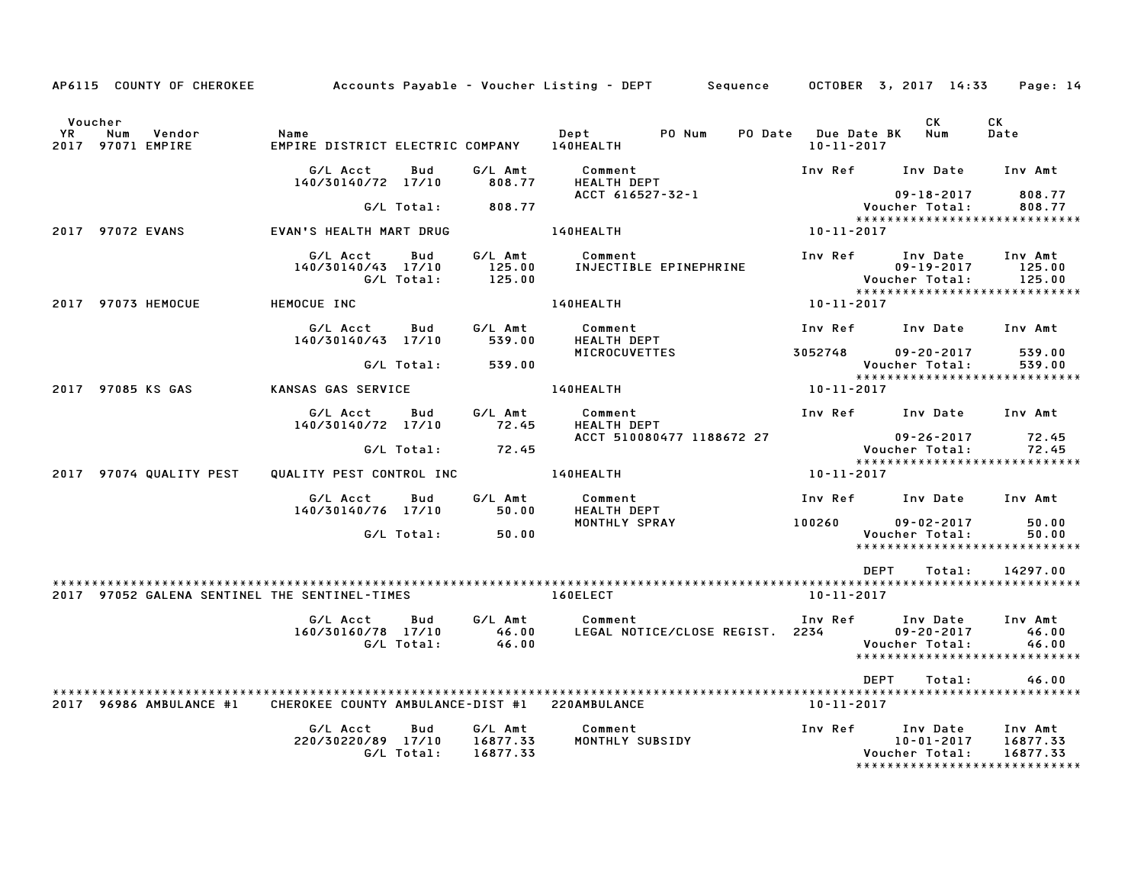|               | AP6115 COUNTY OF CHEROKEE                     | Accounts Payable – Voucher Listing – DEPT         Sequence |                   |                                 |                                            |        |                  | OCTOBER 3, 2017 14:33 |                              | Page: 14                                                          |
|---------------|-----------------------------------------------|------------------------------------------------------------|-------------------|---------------------------------|--------------------------------------------|--------|------------------|-----------------------|------------------------------|-------------------------------------------------------------------|
|               |                                               |                                                            |                   |                                 |                                            |        |                  |                       |                              |                                                                   |
| Voucher<br>YR | Num<br>Vendor<br>2017 97071 EMPIRE            | Name<br>EMPIRE DISTRICT ELECTRIC COMPANY                   |                   |                                 | Dept<br>140HEALTH                          | PO Num | $10 - 11 - 2017$ | PO Date Due Date BK   | CK<br>Num                    | CK<br>Date                                                        |
|               |                                               | G/L Acct<br>140/30140/72 17/10                             | Bud               | G/L Amt<br>808.77               | Comment<br><b>HEALTH DEPT</b>              |        | Inv Ref          |                       | Inv Date                     | Inv Amt                                                           |
|               |                                               |                                                            | G/L Total:        | 808.77                          | ACCT 616527-32-1                           |        |                  | Voucher Total:        | $09 - 18 - 2017$             | 808.77<br>808.77                                                  |
|               | 2017 97072 EVANS                              | EVAN'S HEALTH MART DRUG                                    |                   |                                 | 140HEALTH                                  |        | 10-11-2017       |                       |                              | *****************************                                     |
|               |                                               | G/L Acct<br>140/30140/43 17/10                             | Bud<br>G/L Total: | G/L Amt<br>125.00<br>125.00     | Comment<br>INJECTIBLE EPINEPHRINE          |        | Inv Ref          | Voucher Total:        | Inv Date<br>$09 - 19 - 2017$ | Inv Amt<br>125.00<br>125.00                                       |
|               | 2017 97073 HEMOCUE                            | HEMOCUE INC                                                |                   |                                 | 140HEALTH                                  |        | 10-11-2017       |                       |                              | ******************************                                    |
|               |                                               | G/L Acct<br>140/30140/43 17/10                             | Bud               | G/L Amt<br>539.00               | Comment<br><b>HEALTH DEPT</b>              |        | Inv Ref          |                       | Inv Date                     | Inv Amt                                                           |
|               |                                               |                                                            | G/L Total:        | 539.00                          | <b>MICROCUVETTES</b>                       |        | 3052748          | Voucher Total:        | $09 - 20 - 2017$             | 539.00<br>539.00                                                  |
|               | 2017 97085 KS GAS                             | KANSAS GAS SERVICE                                         |                   |                                 | 140HEALTH                                  |        | 10-11-2017       |                       |                              | *****************************                                     |
|               |                                               | G/L Acct<br>140/30140/72 17/10                             | Bud               | G/L Amt<br>72.45                | Comment<br><b>HEALTH DEPT</b>              |        |                  | Inv Ref Inv Date      |                              | Inv Amt                                                           |
|               |                                               |                                                            | G/L Total:        | 72.45                           | ACCT 510080477 1188672 27                  |        |                  | Voucher Total:        | $09 - 26 - 2017$             | 72.45<br>72.45                                                    |
|               | 2017 97074 QUALITY PEST                       | QUALITY PEST CONTROL INC                                   |                   |                                 | <b>140HEALTH</b>                           |        | 10-11-2017       |                       |                              | ******************************                                    |
|               |                                               | G/L Acct<br>140/30140/76 17/10                             | Bud               | G/L Amt<br>50.00                | Comment<br>HEALTH DEPT                     |        | Inv Ref          |                       | Inv Date                     | Inv Amt                                                           |
|               |                                               |                                                            | G/L Total:        | 50.00                           | MONTHLY SPRAY                              |        | 100260           | Voucher Total:        | $09 - 02 - 2017$             | 50.00<br>50.00<br>*****************************                   |
|               |                                               |                                                            |                   |                                 |                                            |        |                  | DEPT                  | Total:                       | 14297.00                                                          |
|               |                                               |                                                            |                   |                                 |                                            |        |                  |                       |                              |                                                                   |
|               | 2017 97052 GALENA SENTINEL THE SENTINEL-TIMES |                                                            |                   |                                 | 160ELECT                                   |        | 10-11-2017       |                       |                              |                                                                   |
|               |                                               | G/L Acct<br>160/30160/78 17/10                             | Bud<br>G/L Total: | G/L Amt<br>46.00<br>46.00       | Comment<br>LEGAL NOTICE/CLOSE REGIST. 2234 |        | Inv Ref          | Voucher Total:        | Inv Date<br>$09 - 20 - 2017$ | Inv Amt<br>46.00<br>46.00<br>*****************************        |
|               |                                               |                                                            |                   |                                 |                                            |        |                  | <b>DEPT</b>           | Total:                       | 46.00                                                             |
|               | 2017 96986 AMBULANCE #1                       | CHEROKEE COUNTY AMBULANCE-DIST #1 220AMBULANCE             |                   |                                 |                                            |        | 10-11-2017       |                       |                              |                                                                   |
|               |                                               | G/L Acct<br>220/30220/89 17/10                             | Bud<br>G/L Total: | G/L Amt<br>16877.33<br>16877.33 | Comment<br>MONTHLY SUBSIDY                 |        | Inv Ref          | Voucher Total:        | Inv Date<br>$10 - 01 - 2017$ | Inv Amt<br>16877.33<br>16877.33<br>****************************** |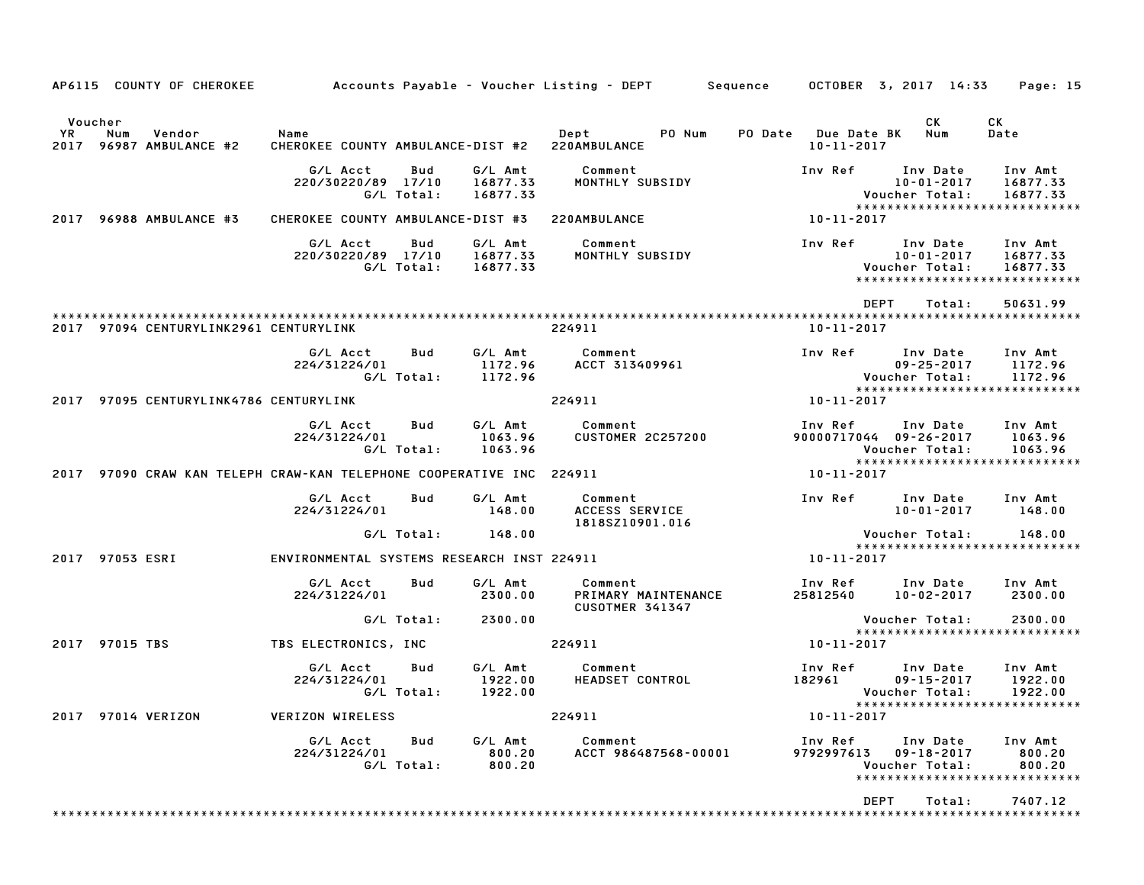|                 |           | AP6115 COUNTY OF CHEROKEE              | Accounts Payable – Voucher Listing – DEPT         Sequence      |                   |                                 |                                                          |        |         |                                        | OCTOBER 3, 2017 14:33                                | Page: 15                                                         |
|-----------------|-----------|----------------------------------------|-----------------------------------------------------------------|-------------------|---------------------------------|----------------------------------------------------------|--------|---------|----------------------------------------|------------------------------------------------------|------------------------------------------------------------------|
| Voucher<br>YR.  | Num       | Vendor<br>2017 96987 AMBULANCE #2      | Name<br>CHEROKEE COUNTY AMBULANCE-DIST #2 220AMBULANCE          |                   |                                 | Dept                                                     | PO Num | PO Date | <b>Due Date BK</b><br>$10 - 11 - 2017$ | СK<br>Num                                            | CК<br>Date                                                       |
|                 |           |                                        | G/L Acct<br>220/30220/89 17/10                                  | Bud<br>G/L Total: | G/L Amt<br>16877.33<br>16877.33 | Comment<br>MONTHLY SUBSIDY                               |        |         | Inv Ref                                | Inv Date<br>$10 - 01 - 2017$<br>Voucher Total:       | Inv Amt<br>16877.33<br>16877.33<br>***************************** |
| 2017            |           | 96988 AMBULANCE #3                     | CHEROKEE COUNTY AMBULANCE-DIST #3                               |                   |                                 | 220AMBULANCE                                             |        |         | 10-11-2017                             |                                                      |                                                                  |
|                 |           |                                        | G/L Acct<br>220/30220/89 17/10                                  | Bud<br>G/L Total: | G/L Amt<br>16877.33<br>16877.33 | Comment<br>MONTHLY SUBSIDY                               |        |         | Inv Ref                                | Inv Date<br>10-01-2017<br>Voucher Total:             | Inv Amt<br>16877.33<br>16877.33<br>***************************** |
|                 |           | 2017 97094 CENTURYLINK2961 CENTURYLINK |                                                                 |                   |                                 | 224911                                                   |        |         | $10 - 11 - 2017$                       | <b>DEPT</b><br>Total:                                | 50631.99                                                         |
|                 |           |                                        | G/L Acct<br>224/31224/01                                        | Bud<br>G/L Total: | G/L Amt<br>1172.96<br>1172.96   | Comment<br>ACCT 313409961                                |        |         | Inv Ref                                | Inv Date<br>$09 - 25 - 2017$<br>Voucher Total:       | Inv Amt<br>1172.96<br>1172.96<br>*****************************   |
| 2017            |           | 97095 CENTURYLINK4786 CENTURYLINK      |                                                                 |                   |                                 | 224911                                                   |        |         | 10-11-2017                             |                                                      |                                                                  |
|                 |           |                                        | G/L Acct<br>224/31224/01                                        | Bud<br>G/L Total: | G/L Amt<br>1063.96<br>1063.96   | Comment<br><b>CUSTOMER 2C257200</b>                      |        |         | Inv Ref                                | Inv Date<br>90000717044 09-26-2017<br>Voucher Total: | Inv Amt<br>1063.96<br>1063.96<br>*****************************   |
| 2017            |           |                                        | 97090 CRAW KAN TELEPH CRAW-KAN TELEPHONE COOPERATIVE INC 224911 |                   |                                 |                                                          |        |         | 10-11-2017                             |                                                      |                                                                  |
|                 |           |                                        | G/L Acct<br>224/31224/01                                        | Bud               | G/L Amt<br>148.00               | Comment<br>ACCESS SERVICE<br>1818SZ10901.016             |        |         | Inv Ref                                | Inv Date<br>$10 - 01 - 2017$                         | Inv Amt<br>148.00                                                |
|                 |           |                                        |                                                                 | G/L Total:        | 148.00                          |                                                          |        |         |                                        | Voucher Total:                                       | 148.00<br>*****************************                          |
| 2017 97053 ESRI |           |                                        | ENVIRONMENTAL SYSTEMS RESEARCH INST 224911                      |                   |                                 |                                                          |        |         | 10-11-2017                             |                                                      |                                                                  |
|                 |           |                                        | G/L Acct<br>224/31224/01                                        | Bud               | G/L Amt<br>2300.00              | Comment<br>PRIMARY MAINTENANCE<br><b>CUSOTMER 341347</b> |        |         | Inv Ref<br>25812540                    | Inv Date<br>$10 - 02 - 2017$                         | Inv Amt<br>2300.00                                               |
|                 |           |                                        |                                                                 | G/L Total:        | 2300.00                         |                                                          |        |         |                                        | Voucher Total:                                       | 2300.00<br>*****************************                         |
| 2017            | 97015 TBS |                                        | TBS ELECTRONICS, INC                                            |                   |                                 | 224911                                                   |        |         | 10-11-2017                             |                                                      |                                                                  |
|                 |           |                                        | G/L Acct<br>224/31224/01                                        | Bud<br>G/L Total: | G/L Amt<br>1922.00<br>1922.00   | Comment<br>HEADSET CONTROL                               |        |         | Inv Ref<br>182961                      | Inv Date<br>$09 - 15 - 2017$<br>Voucher Total:       | Inv Amt<br>1922.00<br>1922.00                                    |
|                 |           | 2017 97014 VERIZON                     | <b>VERIZON WIRELESS</b>                                         |                   |                                 | 224911                                                   |        |         | $10 - 11 - 2017$                       |                                                      | *****************************                                    |
|                 |           |                                        | G/L Acct<br>224/31224/01                                        | Bud<br>G/L Total: | G/L Amt<br>800.20<br>800.20     | Comment<br>ACCT 986487568-00001                          |        |         | Inv Ref<br>9792997613                  | Inv Date<br>$09 - 18 - 2017$<br>Voucher Total:       | Inv Amt<br>800.20<br>800.20<br>*****************************     |
|                 |           |                                        |                                                                 |                   |                                 |                                                          |        |         |                                        | <b>DEPT</b><br>Total:                                | 7407.12                                                          |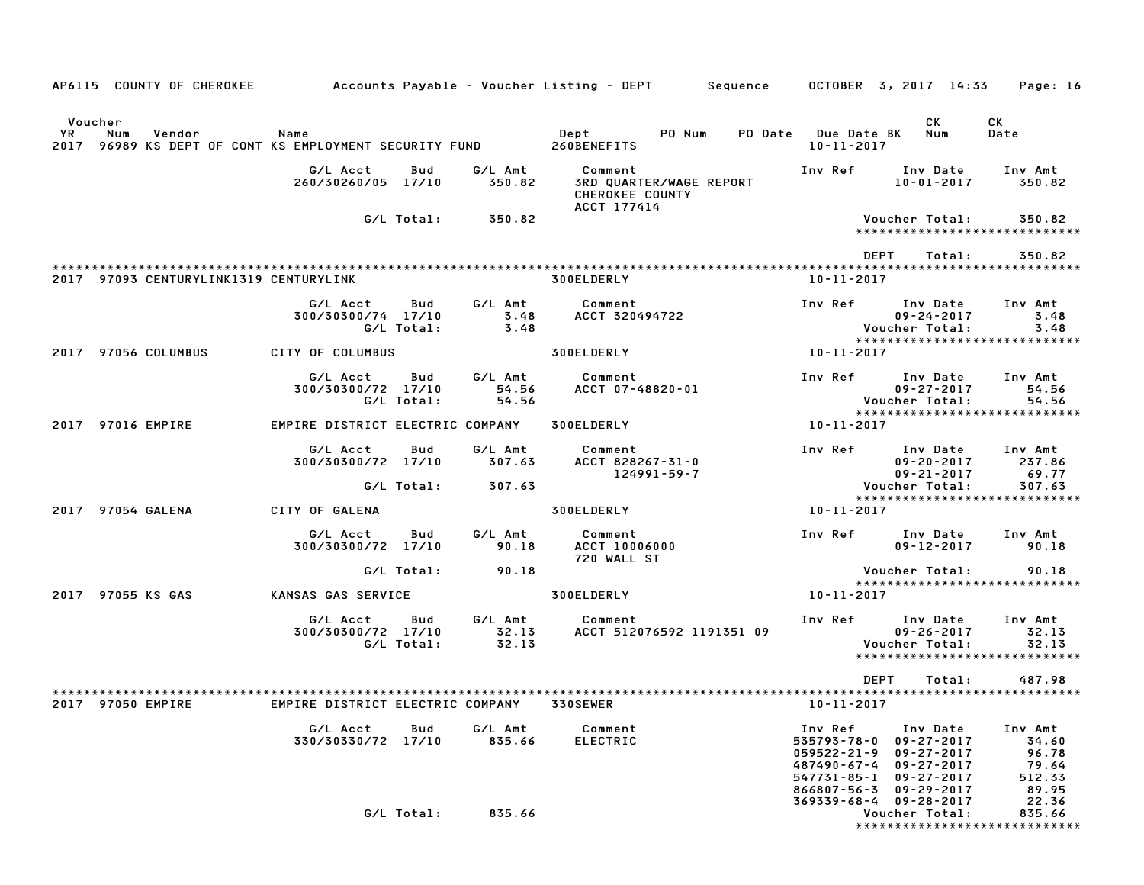|         |     | AP6115 COUNTY OF CHEROKEE              | Accounts Payable – Voucher Listing – DEPT        Sequence      OCTOBER  3, 2017  14:33     Page: 16 |                   |                           |                                                |                           |                                                                                                |                                                                                                        |                                                    |                                            |
|---------|-----|----------------------------------------|-----------------------------------------------------------------------------------------------------|-------------------|---------------------------|------------------------------------------------|---------------------------|------------------------------------------------------------------------------------------------|--------------------------------------------------------------------------------------------------------|----------------------------------------------------|--------------------------------------------|
| Voucher |     |                                        |                                                                                                     |                   |                           |                                                |                           |                                                                                                | CК                                                                                                     | CK                                                 |                                            |
| YR      | Num | Vendor                                 | Name<br>2017 96989 KS DEPT OF CONT KS EMPLOYMENT SECURITY FUND 260BENEFITS                          |                   |                           | Dept PO Num                                    |                           | PO Date Due Date BK<br>10-11-2017                                                              | Num                                                                                                    | Date                                               |                                            |
|         |     |                                        | G/L Acct<br>260/30260/05 17/10                                                                      | Bud               | G/L Amt<br>350.82         | Comment<br>CHEROKEE COUNTY<br>ACCT 177414      | 3RD QUARTER/WAGE REPORT   | Inv Ref                                                                                        | Inv Date<br>$10 - 01 - 2017$                                                                           | Inv Amt                                            | 350.82                                     |
|         |     |                                        |                                                                                                     | G/L Total:        | 350.82                    |                                                |                           |                                                                                                | Voucher Total:                                                                                         | *****************************                      | 350.82                                     |
|         |     | 2017 97093 CENTURYLINK1319 CENTURYLINK |                                                                                                     |                   |                           | 300ELDERLY                                     |                           | DEPT<br>10-11-2017                                                                             | Total:                                                                                                 |                                                    | 350.82                                     |
|         |     |                                        | G/L Acct<br>300/30300/74 17/10                                                                      | Bud<br>G/L Total: | G/L Amt<br>3.48<br>3.48   | Comment<br>ACCT 320494722                      |                           | Inv Ref Inv Date                                                                               | 09-24-2017<br>Voucher Total:                                                                           | Inv Amt<br>*****************************           | 3.48<br>3.48                               |
|         |     | 2017 97056 COLUMBUS                    | CITY OF COLUMBUS                                                                                    |                   |                           | <b>300ELDERLY</b>                              |                           | 10-11-2017                                                                                     |                                                                                                        |                                                    |                                            |
|         |     |                                        | G/L Acct<br>300/30300/72 17/10                                                                      | Bud<br>G/L Total: | G/L Amt<br>54.56<br>54.56 | Comment<br>ACCT 07-48820-01                    |                           | Inv Ref Inv Date                                                                               | $09 - 27 - 2017$<br>Voucher Total:                                                                     | Inv Amt<br>*****************************           | 54.56<br>54.56                             |
|         |     | 2017 97016 EMPIRE                      | EMPIRE DISTRICT ELECTRIC COMPANY                                                                    |                   |                           | <b>300ELDERLY</b>                              |                           | 10-11-2017                                                                                     |                                                                                                        |                                                    |                                            |
|         |     |                                        | G/L Acct<br>300/30300/72 17/10                                                                      | Bud               | G/L Amt<br>307.63         | Comment<br>ACCT 828267-31-0                    | 124991-59-7               | Inv Ref Inv Date                                                                               | $09 - 20 - 2017$<br>09-21-2017                                                                         | Inv Amt<br>237.86                                  | 69.77                                      |
|         |     |                                        |                                                                                                     | G/L Total:        | 307.63                    |                                                |                           |                                                                                                | Voucher Total:                                                                                         | *****************************                      | 307.63                                     |
|         |     | 2017 97054 GALENA                      | CITY OF GALENA                                                                                      |                   |                           | <b>300ELDERLY</b>                              |                           | 10-11-2017                                                                                     |                                                                                                        |                                                    |                                            |
|         |     |                                        | G/L Acct<br>300/30300/72 17/10                                                                      | Bud               | G/L Amt<br>90.18          | Comment<br><b>ACCT 10006000</b><br>720 WALL ST |                           | Inv Ref                                                                                        | Inv Date<br>$09 - 12 - 2017$                                                                           | Inv Amt                                            | 90.18                                      |
|         |     |                                        |                                                                                                     | G/L Total:        | 90.18                     |                                                |                           |                                                                                                | Voucher Total:                                                                                         | *****************************                      | 90.18                                      |
|         |     | 2017 97055 KS GAS                      | KANSAS GAS SERVICE                                                                                  |                   |                           | <b>300ELDERLY</b>                              |                           | 10-11-2017                                                                                     |                                                                                                        |                                                    |                                            |
|         |     |                                        | G/L Acct Bud<br>300/30300/72 17/10                                                                  | G/L Total:        | 32.13<br>32.13            | G/L Amt Comment                                | ACCT 512076592 1191351 09 | Inv Ref Inv Date                                                                               | $09 - 26 - 2017$<br>Voucher Total:                                                                     | Inv Amt<br>32.13<br>****************************** | 32.13                                      |
|         |     |                                        |                                                                                                     |                   |                           |                                                |                           | <b>DEPT</b>                                                                                    | Total:                                                                                                 |                                                    | 487.98                                     |
| 2017    |     | 97050 EMPIRE                           | EMPIRE DISTRICT ELECTRIC COMPANY                                                                    |                   |                           | 330SEWER                                       |                           | 10-11-2017                                                                                     |                                                                                                        |                                                    |                                            |
|         |     |                                        | G/L Acct<br>330/30330/72 17/10                                                                      | Bud               | G/L Amt<br>835.66         | Comment<br><b>ELECTRIC</b>                     |                           | Inv Ref<br>535793-78-0<br>059522-21-9<br>487490-67-4<br>$547731 - 85 - 1$<br>$866807 - 56 - 3$ | Inv Date<br>$09 - 27 - 2017$<br>09-27-2017<br>$09 - 27 - 2017$<br>$09 - 27 - 2017$<br>$09 - 29 - 2017$ | Inv Amt                                            | 34.60<br>96.78<br>79.64<br>512.33<br>89.95 |
|         |     |                                        |                                                                                                     | G/L Total:        | 835.66                    |                                                |                           | 369339-68-4                                                                                    | $09 - 28 - 2017$<br>Voucher Total:                                                                     | *****************************                      | 22.36<br>835.66                            |